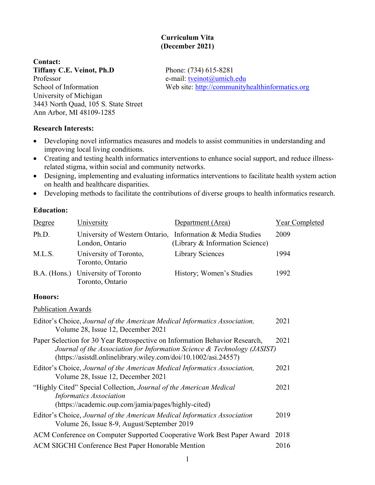# **Curriculum Vita (December 2021)**

**Contact: Tiffany C.E. Veinot, Ph.D** Phone: (734) 615-8281 Professor e-mail: tveinot@umich.edu University of Michigan 3443 North Quad, 105 S. State Street Ann Arbor, MI 48109-1285

### **Research Interests:**

- Developing novel informatics measures and models to assist communities in understanding and improving local living conditions.
- Creating and testing health informatics interventions to enhance social support, and reduce illnessrelated stigma, within social and community networks.
- Designing, implementing and evaluating informatics interventions to facilitate health system action on health and healthcare disparities.
- Developing methods to facilitate the contributions of diverse groups to health informatics research.

# **Education:**

| Degree | University                                                                    | Department (Area)               | Year Completed |
|--------|-------------------------------------------------------------------------------|---------------------------------|----------------|
| Ph.D.  | University of Western Ontario, Information & Media Studies<br>London, Ontario | (Library & Information Science) | 2009           |
| M.L.S. | University of Toronto,<br>Toronto, Ontario                                    | <b>Library Sciences</b>         | 1994           |
|        | B.A. (Hons.) University of Toronto<br>Toronto, Ontario                        | History; Women's Studies        | 1992           |

# **Honors:**

Publication Awards

| Editor's Choice, Journal of the American Medical Informatics Association,<br>Volume 28, Issue 12, December 2021                                                                                                            | 2021 |
|----------------------------------------------------------------------------------------------------------------------------------------------------------------------------------------------------------------------------|------|
| Paper Selection for 30 Year Retrospective on Information Behavior Research,<br>Journal of the Association for Information Science & Technology (JASIST)<br>(https://asistdl.onlinelibrary.wiley.com/doi/10.1002/asi.24557) | 2021 |
| Editor's Choice, Journal of the American Medical Informatics Association,<br>Volume 28, Issue 12, December 2021                                                                                                            | 2021 |
| "Highly Cited" Special Collection, Journal of the American Medical<br><b>Informatics Association</b><br>(https://academic.oup.com/jamia/pages/highly-cited)                                                                | 2021 |
| Editor's Choice, Journal of the American Medical Informatics Association<br>Volume 26, Issue 8-9, August/September 2019                                                                                                    | 2019 |
| ACM Conference on Computer Supported Cooperative Work Best Paper Award                                                                                                                                                     | 2018 |
| ACM SIGCHI Conference Best Paper Honorable Mention                                                                                                                                                                         | 2016 |

School of Information Web site: http://communityhealthinformatics.org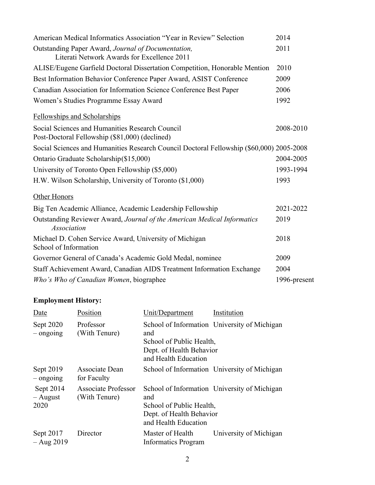| American Medical Informatics Association "Year in Review" Selection                               | 2014         |
|---------------------------------------------------------------------------------------------------|--------------|
| Outstanding Paper Award, Journal of Documentation,<br>Literati Network Awards for Excellence 2011 | 2011         |
| ALISE/Eugene Garfield Doctoral Dissertation Competition, Honorable Mention                        | 2010         |
| Best Information Behavior Conference Paper Award, ASIST Conference                                | 2009         |
| Canadian Association for Information Science Conference Best Paper                                | 2006         |
| Women's Studies Programme Essay Award                                                             | 1992         |
| Fellowships and Scholarships                                                                      |              |
| Social Sciences and Humanities Research Council<br>Post-Doctoral Fellowship (\$81,000) (declined) | 2008-2010    |
| Social Sciences and Humanities Research Council Doctoral Fellowship (\$60,000) 2005-2008          |              |
| Ontario Graduate Scholarship (\$15,000)                                                           | 2004-2005    |
| University of Toronto Open Fellowship (\$5,000)                                                   | 1993-1994    |
| H.W. Wilson Scholarship, University of Toronto (\$1,000)                                          | 1993         |
| Other Honors                                                                                      |              |
| Big Ten Academic Alliance, Academic Leadership Fellowship                                         | 2021-2022    |
| Outstanding Reviewer Award, Journal of the American Medical Informatics<br><b>Association</b>     | 2019         |
| Michael D. Cohen Service Award, University of Michigan<br>School of Information                   | 2018         |
| Governor General of Canada's Academic Gold Medal, nominee                                         | 2009         |
| Staff Achievement Award, Canadian AIDS Treatment Information Exchange                             | 2004         |
| Who's Who of Canadian Women, biographee                                                           | 1996-present |

# **Employment History:**

| Date                            | Position                                    | Unit/Department                                                                     | Institution                                  |
|---------------------------------|---------------------------------------------|-------------------------------------------------------------------------------------|----------------------------------------------|
| Sept 2020<br>$-$ ongoing        | Professor<br>(With Tenure)                  | and<br>School of Public Health,<br>Dept. of Health Behavior<br>and Health Education | School of Information University of Michigan |
| Sept 2019<br>$-$ ongoing        | Associate Dean<br>for Faculty               |                                                                                     | School of Information University of Michigan |
| Sept 2014<br>$-$ August<br>2020 | <b>Associate Professor</b><br>(With Tenure) | and<br>School of Public Health,<br>Dept. of Health Behavior<br>and Health Education | School of Information University of Michigan |
| Sept 2017<br>$-$ Aug 2019       | Director                                    | Master of Health<br><b>Informatics Program</b>                                      | University of Michigan                       |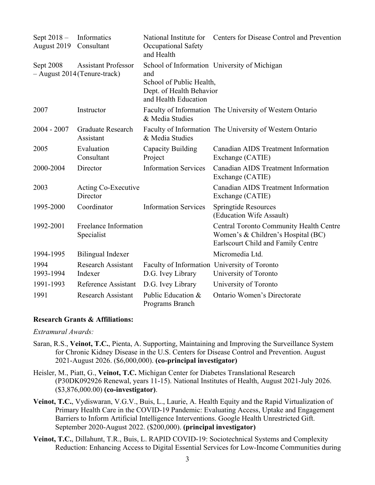| Sept $2018-$<br>August 2019 | Informatics<br>Consultant                                    | National Institute for<br>Occupational Safety<br>and Health                         | Centers for Disease Control and Prevention                                                                                 |
|-----------------------------|--------------------------------------------------------------|-------------------------------------------------------------------------------------|----------------------------------------------------------------------------------------------------------------------------|
| Sept 2008                   | <b>Assistant Professor</b><br>$-$ August 2014 (Tenure-track) | and<br>School of Public Health,<br>Dept. of Health Behavior<br>and Health Education | School of Information University of Michigan                                                                               |
| 2007                        | Instructor                                                   | & Media Studies                                                                     | Faculty of Information The University of Western Ontario                                                                   |
| $2004 - 2007$               | <b>Graduate Research</b><br>Assistant                        | & Media Studies                                                                     | Faculty of Information The University of Western Ontario                                                                   |
| 2005                        | Evaluation<br>Consultant                                     | Capacity Building<br>Project                                                        | Canadian AIDS Treatment Information<br>Exchange (CATIE)                                                                    |
| 2000-2004                   | Director                                                     | <b>Information Services</b>                                                         | <b>Canadian AIDS Treatment Information</b><br>Exchange (CATIE)                                                             |
| 2003                        | Acting Co-Executive<br>Director                              |                                                                                     | <b>Canadian AIDS Treatment Information</b><br>Exchange (CATIE)                                                             |
| 1995-2000                   | Coordinator                                                  | <b>Information Services</b>                                                         | Springtide Resources<br>(Education Wife Assault)                                                                           |
| 1992-2001                   | Freelance Information<br>Specialist                          |                                                                                     | <b>Central Toronto Community Health Centre</b><br>Women's & Children's Hospital (BC)<br>Earlscourt Child and Family Centre |
| 1994-1995                   | Bilingual Indexer                                            |                                                                                     | Micromedia Ltd.                                                                                                            |
| 1994<br>1993-1994           | <b>Research Assistant</b><br>Indexer                         | Faculty of Information University of Toronto<br>D.G. Ivey Library                   | University of Toronto                                                                                                      |
| 1991-1993                   | Reference Assistant                                          | D.G. Ivey Library                                                                   | University of Toronto                                                                                                      |
| 1991                        | <b>Research Assistant</b>                                    | Public Education &<br>Programs Branch                                               | Ontario Women's Directorate                                                                                                |

#### **Research Grants & Affiliations:**

*Extramural Awards:*

- Saran, R.S., **Veinot, T.C.**, Pienta, A. Supporting, Maintaining and Improving the Surveillance System for Chronic Kidney Disease in the U.S. Centers for Disease Control and Prevention. August 2021-August 2026. (\$6,000,000). **(co-principal investigator)**
- Heisler, M., Piatt, G., **Veinot, T.C.** Michigan Center for Diabetes Translational Research (P30DK092926 Renewal, years 11-15). National Institutes of Health, August 2021-July 2026. (\$3,876,000.00) **(co-investigator)**.
- **Veinot, T.C.**, Vydiswaran, V.G.V., Buis, L., Laurie, A. Health Equity and the Rapid Virtualization of Primary Health Care in the COVID-19 Pandemic: Evaluating Access, Uptake and Engagement Barriers to Inform Artificial Intelligence Interventions. Google Health Unrestricted Gift. September 2020-August 2022. (\$200,000). **(principal investigator)**
- **Veinot, T.C.**, Dillahunt, T.R., Buis, L. RAPID COVID-19: Sociotechnical Systems and Complexity Reduction: Enhancing Access to Digital Essential Services for Low-Income Communities during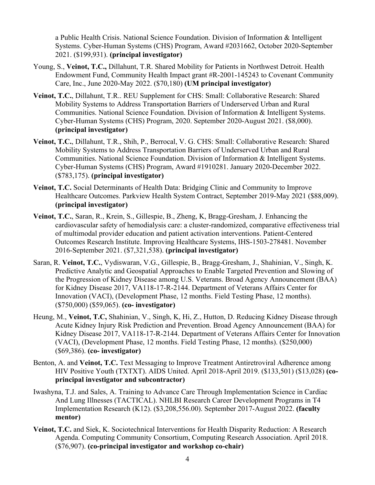a Public Health Crisis. National Science Foundation. Division of Information & Intelligent Systems. Cyber-Human Systems (CHS) Program, Award #2031662, October 2020-September 2021. (\$199,931). **(principal investigator)**

- Young, S., **Veinot, T.C.,** Dillahunt, T.R. Shared Mobility for Patients in Northwest Detroit. Health Endowment Fund, Community Health Impact grant #R-2001-145243 to Covenant Community Care, Inc., June 2020-May 2022. (\$70,180) **(UM principal investigator)**
- **Veinot, T.C.**, Dillahunt, T.R.. REU Supplement for CHS: Small: Collaborative Research: Shared Mobility Systems to Address Transportation Barriers of Underserved Urban and Rural Communities. National Science Foundation. Division of Information & Intelligent Systems. Cyber-Human Systems (CHS) Program, 2020. September 2020-August 2021. (\$8,000). **(principal investigator)**
- **Veinot, T.C.**, Dillahunt, T.R., Shih, P., Berrocal, V. G. CHS: Small: Collaborative Research: Shared Mobility Systems to Address Transportation Barriers of Underserved Urban and Rural Communities. National Science Foundation. Division of Information & Intelligent Systems. Cyber-Human Systems (CHS) Program, Award #1910281. January 2020-December 2022. (\$783,175). **(principal investigator)**
- **Veinot, T.C.** Social Determinants of Health Data: Bridging Clinic and Community to Improve Healthcare Outcomes. Parkview Health System Contract, September 2019-May 2021 (\$88,009). **(principal investigator)**
- **Veinot, T.C.**, Saran, R., Krein, S., Gillespie, B., Zheng, K, Bragg-Gresham, J. Enhancing the cardiovascular safety of hemodialysis care: a cluster-randomized, comparative effectiveness trial of multimodal provider education and patient activation interventions. Patient-Centered Outcomes Research Institute. Improving Healthcare Systems, IHS-1503-278481. November 2016-September 2021. (\$7,321,538). **(principal investigator)**
- Saran, R. **Veinot, T.C.**, Vydiswaran, V.G., Gillespie, B., Bragg-Gresham, J., Shahinian, V., Singh, K. Predictive Analytic and Geospatial Approaches to Enable Targeted Prevention and Slowing of the Progression of Kidney Disease among U.S. Veterans. Broad Agency Announcement (BAA) for Kidney Disease 2017, VA118-17-R-2144. Department of Veterans Affairs Center for Innovation (VACI), (Development Phase, 12 months. Field Testing Phase, 12 months). (\$750,000) (\$59,065). **(co- investigator)**
- Heung, M., **Veinot, T.C,** Shahinian, V., Singh, K, Hi, Z., Hutton, D. Reducing Kidney Disease through Acute Kidney Injury Risk Prediction and Prevention. Broad Agency Announcement (BAA) for Kidney Disease 2017, VA118-17-R-2144. Department of Veterans Affairs Center for Innovation (VACI), (Development Phase, 12 months. Field Testing Phase, 12 months). (\$250,000) (\$69,386). **(co- investigator)**
- Benton, A. and **Veinot, T.C.** Text Messaging to Improve Treatment Antiretroviral Adherence among HIV Positive Youth (TXTXT). AIDS United. April 2018-April 2019. (\$133,501) (\$13,028) **(coprincipal investigator and subcontractor)**
- Iwashyna, T.J. and Sales, A. Training to Advance Care Through Implementation Science in Cardiac And Lung Illnesses (TACTICAL). NHLBI Research Career Development Programs in T4 Implementation Research (K12). (\$3,208,556.00). September 2017-August 2022. **(faculty mentor)**
- **Veinot, T.C.** and Siek, K. Sociotechnical Interventions for Health Disparity Reduction: A Research Agenda. Computing Community Consortium, Computing Research Association. April 2018. (\$76,907). **(co-principal investigator and workshop co-chair)**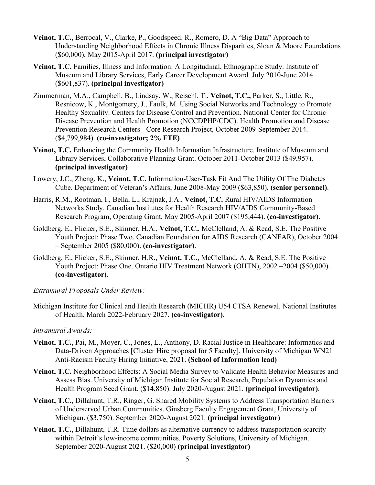- **Veinot, T.C.**, Berrocal, V., Clarke, P., Goodspeed. R., Romero, D. A "Big Data" Approach to Understanding Neighborhood Effects in Chronic Illness Disparities, Sloan & Moore Foundations (\$60,000), May 2015-April 2017. **(principal investigator)**
- **Veinot, T.C.** Families, Illness and Information: A Longitudinal, Ethnographic Study. Institute of Museum and Library Services, Early Career Development Award. July 2010-June 2014 (\$601,837). **(principal investigator)**
- Zimmerman, M.A., Campbell, B., Lindsay, W., Reischl, T., **Veinot, T.C.,** Parker, S., Little, R., Resnicow, K., Montgomery, J., Faulk, M. Using Social Networks and Technology to Promote Healthy Sexuality. Centers for Disease Control and Prevention. National Center for Chronic Disease Prevention and Health Promotion (NCCDPHP/CDC). Health Promotion and Disease Prevention Research Centers - Core Research Project, October 2009-September 2014. (\$4,799,984). **(co-investigator; 2% FTE)**
- **Veinot, T.C.** Enhancing the Community Health Information Infrastructure. Institute of Museum and Library Services, Collaborative Planning Grant. October 2011-October 2013 (\$49,957). **(principal investigator)**
- Lowery, J.C., Zheng, K., **Veinot, T.C.** Information-User-Task Fit And The Utility Of The Diabetes Cube. Department of Veteran's Affairs, June 2008-May 2009 (\$63,850). **(senior personnel)**.
- Harris, R.M., Rootman, I., Bella, L., Krajnak, J.A., **Veinot, T.C.** Rural HIV/AIDS Information Networks Study. Canadian Institutes for Health Research HIV/AIDS Community-Based Research Program, Operating Grant, May 2005-April 2007 (\$195,444). **(co-investigator)**.
- Goldberg, E., Flicker, S.E., Skinner, H.A., **Veinot, T.C.**, McClelland, A. & Read, S.E. The Positive Youth Project: Phase Two. Canadian Foundation for AIDS Research (CANFAR), October 2004 – September 2005 (\$80,000). **(co-investigator)**.
- Goldberg, E., Flicker, S.E., Skinner, H.R., **Veinot, T.C.**, McClelland, A. & Read, S.E. The Positive Youth Project: Phase One. Ontario HIV Treatment Network (OHTN), 2002 –2004 (\$50,000). **(co-investigator)**.

### *Extramural Proposals Under Review:*

Michigan Institute for Clinical and Health Research (MICHR) U54 CTSA Renewal. National Institutes of Health. March 2022-February 2027. **(co-investigator)**.

#### *Intramural Awards:*

- **Veinot, T.C.**, Pai, M., Moyer, C., Jones, L., Anthony, D. Racial Justice in Healthcare: Informatics and Data-Driven Approaches [Cluster Hire proposal for 5 Faculty]. University of Michigan WN21 Anti-Racism Faculty Hiring Initiative, 2021. **(School of Information lead)**
- **Veinot, T.C.** Neighborhood Effects: A Social Media Survey to Validate Health Behavior Measures and Assess Bias. University of Michigan Institute for Social Research, Population Dynamics and Health Program Seed Grant. (\$14,850). July 2020-August 2021. **(principal investigator)**.
- **Veinot, T.C.**, Dillahunt, T.R., Ringer, G. Shared Mobility Systems to Address Transportation Barriers of Underserved Urban Communities. Ginsberg Faculty Engagement Grant, University of Michigan. (\$3,750). September 2020-August 2021. **(principal investigator)**
- **Veinot, T.C.**, Dillahunt, T.R. Time dollars as alternative currency to address transportation scarcity within Detroit's low-income communities. Poverty Solutions, University of Michigan. September 2020-August 2021. (\$20,000) **(principal investigator)**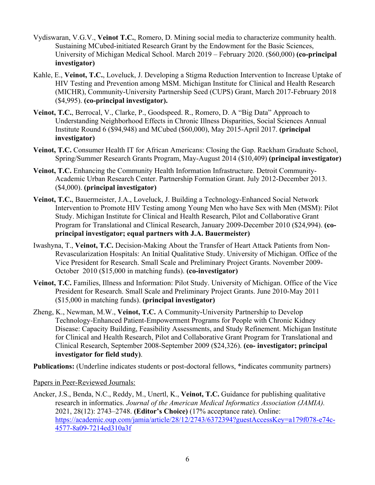- Vydiswaran, V.G.V., **Veinot T.C.**, Romero, D. Mining social media to characterize community health. Sustaining MCubed-initiated Research Grant by the Endowment for the Basic Sciences, University of Michigan Medical School. March 2019 – February 2020. (\$60,000) **(co-principal investigator)**
- Kahle, E., **Veinot, T.C.**, Loveluck, J. Developing a Stigma Reduction Intervention to Increase Uptake of HIV Testing and Prevention among MSM. Michigan Institute for Clinical and Health Research (MICHR), Community-University Partnership Seed (CUPS) Grant, March 2017-February 2018 (\$4,995). **(co-principal investigator).**
- **Veinot, T.C.**, Berrocal, V., Clarke, P., Goodspeed. R., Romero, D. A "Big Data" Approach to Understanding Neighborhood Effects in Chronic Illness Disparities, Social Sciences Annual Institute Round 6 (\$94,948) and MCubed (\$60,000), May 2015-April 2017. **(principal investigator)**
- **Veinot, T.C.** Consumer Health IT for African Americans: Closing the Gap. Rackham Graduate School, Spring/Summer Research Grants Program, May-August 2014 (\$10,409) **(principal investigator)**
- **Veinot, T.C.** Enhancing the Community Health Information Infrastructure. Detroit Community-Academic Urban Research Center. Partnership Formation Grant. July 2012-December 2013. (\$4,000). **(principal investigator)**
- **Veinot, T.C.**, Bauermeister, J.A., Loveluck, J. Building a Technology-Enhanced Social Network Intervention to Promote HIV Testing among Young Men who have Sex with Men (MSM): Pilot Study. Michigan Institute for Clinical and Health Research, Pilot and Collaborative Grant Program for Translational and Clinical Research, January 2009-December 2010 (\$24,994). **(coprincipal investigator; equal partners with J.A. Bauermeister)**
- Iwashyna, T., **Veinot, T.C.** Decision-Making About the Transfer of Heart Attack Patients from Non-Revascularization Hospitals: An Initial Qualitative Study. University of Michigan. Office of the Vice President for Research. Small Scale and Preliminary Project Grants. November 2009- October 2010 (\$15,000 in matching funds). **(co-investigator)**
- **Veinot, T.C.** Families, Illness and Information: Pilot Study. University of Michigan. Office of the Vice President for Research. Small Scale and Preliminary Project Grants. June 2010-May 2011 (\$15,000 in matching funds). **(principal investigator)**
- Zheng, K., Newman, M.W., **Veinot, T.C.** A Community-University Partnership to Develop Technology-Enhanced Patient-Empowerment Programs for People with Chronic Kidney Disease: Capacity Building, Feasibility Assessments, and Study Refinement. Michigan Institute for Clinical and Health Research, Pilot and Collaborative Grant Program for Translational and Clinical Research, September 2008-September 2009 (\$24,326). **(co- investigator; principal investigator for field study)**.

**Publications:** (Underline indicates students or post-doctoral fellows, \*indicates community partners)

Papers in Peer-Reviewed Journals:

Ancker, J.S., Benda, N.C., Reddy, M., Unertl, K., **Veinot, T.C.** Guidance for publishing qualitative research in informatics. *Journal of the American Medical Informatics Association (JAMIA).* 2021, 28(12): 2743–2748. **(Editor's Choice)** (17% acceptance rate). Online: https://academic.oup.com/jamia/article/28/12/2743/6372394?guestAccessKey=a179f078-e74c-4577-8a09-7214ed310a3f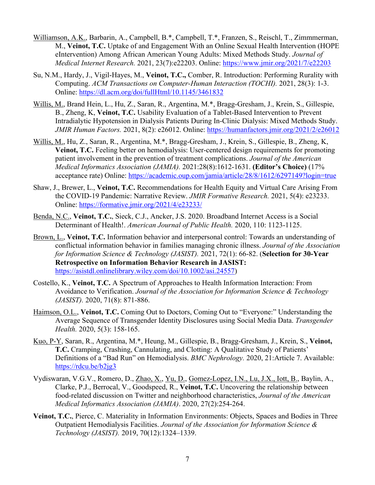- Williamson, A.K., Barbarin, A., Campbell, B.\*, Campbell, T.\*, Franzen, S., Reischl, T., Zimmmerman, M., **Veinot, T.C.** Uptake of and Engagement With an Online Sexual Health Intervention (HOPE eIntervention) Among African American Young Adults: Mixed Methods Study. *Journal of Medical Internet Research.* 2021, 23(7):e22203. Online: https://www.jmir.org/2021/7/e22203
- Su, N.M., Hardy, J., Vigil-Hayes, M., **Veinot, T.C.,** Comber, R. Introduction: Performing Rurality with Computing. *ACM Transactions on Computer-Human Interaction (TOCHI).* 2021, 28(3): 1-3. Online: https://dl.acm.org/doi/fullHtml/10.1145/3461832
- Willis, M., Brand Hein, L., Hu, Z., Saran, R., Argentina, M.\*, Bragg-Gresham, J., Krein, S., Gillespie, B., Zheng, K, **Veinot, T.C.** Usability Evaluation of a Tablet-Based Intervention to Prevent Intradialytic Hypotension in Dialysis Patients During In-Clinic Dialysis: Mixed Methods Study. *JMIR Human Factors.* 2021, 8(2): e26012. Online: https://humanfactors.jmir.org/2021/2/e26012
- Willis, M., Hu, Z., Saran, R., Argentina, M.\*, Bragg-Gresham, J., Krein, S., Gillespie, B., Zheng, K, **Veinot, T.C.** Feeling better on hemodialysis: User-centered design requirements for promoting patient involvement in the prevention of treatment complications. *Journal of the American Medical Informatics Association (JAMIA).* 2021:28(8):1612-1631. **(Editor's Choice)** (17% acceptance rate) Online: https://academic.oup.com/jamia/article/28/8/1612/6297149?login=true
- Shaw, J., Brewer, L., **Veinot, T.C.** Recommendations for Health Equity and Virtual Care Arising From the COVID-19 Pandemic: Narrative Review. *JMIR Formative Research.* 2021, 5(4): e23233. Online: https://formative.jmir.org/2021/4/e23233/
- Benda, N.C., **Veinot, T.C.**, Sieck, C.J., Ancker, J.S. 2020. Broadband Internet Access is a Social Determinant of Health!. *American Journal of Public Health.* 2020, 110: 1123-1125.
- Brown, L., **Veinot, T.C.** Information behavior and interpersonal control: Towards an understanding of conflictual information behavior in families managing chronic illness. *Journal of the Association for Information Science & Technology (JASIST).* 2021, 72(1): 66-82. (**Selection for 30-Year Retrospective on Information Behavior Research in JASIST:** https://asistdl.onlinelibrary.wiley.com/doi/10.1002/asi.24557)
- Costello, K., **Veinot, T.C.** A Spectrum of Approaches to Health Information Interaction: From Avoidance to Verification. *Journal of the Association for Information Science & Technology (JASIST).* 2020, 71(8): 871-886.
- Haimson, O.L., **Veinot, T.C.** Coming Out to Doctors, Coming Out to "Everyone:" Understanding the Average Sequence of Transgender Identity Disclosures using Social Media Data. *Transgender Health.* 2020, 5(3): 158-165.
- Kuo, P-Y, Saran, R., Argentina, M.\*, Heung, M., Gillespie, B., Bragg-Gresham, J., Krein, S., **Veinot, T.C.** Cramping, Crashing, Cannulating, and Clotting: A Qualitative Study of Patients' Definitions of a "Bad Run" on Hemodialysis. *BMC Nephrology.* 2020, 21:Article 7. Available: https://rdcu.be/b2jg3
- Vydiswaran, V.G.V., Romero, D., Zhao, X., Yu, D., Gomez-Lopez, I.N., Lu, J.X., Iott, B., Baylin, A., Clarke, P.J., Berrocal, V., Goodspeed, R., **Veinot, T.C.** Uncovering the relationship between food-related discussion on Twitter and neighborhood characteristics, *Journal of the American Medical Informatics Association (JAMIA)*. 2020, 27(2):254-264.
- **Veinot, T.C.**, Pierce, C. Materiality in Information Environments: Objects, Spaces and Bodies in Three Outpatient Hemodialysis Facilities. *Journal of the Association for Information Science & Technology (JASIST).* 2019, 70(12):1324–1339.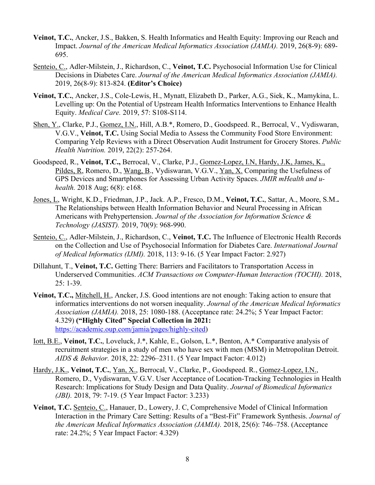- **Veinot, T.C.**, Ancker, J.S., Bakken, S. Health Informatics and Health Equity: Improving our Reach and Impact. *Journal of the American Medical Informatics Association (JAMIA).* 2019, 26(8-9): 689- 695.
- Senteio, C., Adler-Milstein, J., Richardson, C., **Veinot, T.C.** Psychosocial Information Use for Clinical Decisions in Diabetes Care. *Journal of the American Medical Informatics Association (JAMIA).* 2019, 26(8-9): 813-824. **(Editor's Choice)**
- **Veinot, T.C.**, Ancker, J.S., Cole-Lewis, H., Mynatt, Elizabeth D., Parker, A.G., Siek, K., Mamykina, L. Levelling up: On the Potential of Upstream Health Informatics Interventions to Enhance Health Equity. *Medical Care.* 2019, 57: S108-S114.
- Shen, Y., Clarke, P.J., Gomez, I.N., Hill, A.B.\*, Romero, D., Goodspeed. R., Berrocal, V., Vydiswaran, V.G.V., **Veinot, T.C.** Using Social Media to Assess the Community Food Store Environment: Comparing Yelp Reviews with a Direct Observation Audit Instrument for Grocery Stores. *Public Health Nutrition.* 2019, 22(2): 257-264.
- Goodspeed, R., **Veinot, T.C.,** Berrocal, V., Clarke, P.J., Gomez-Lopez, I.N, Hardy, J.K, James, K., Pildes, R, Romero, D., Wang, B., Vydiswaran, V.G.V., Yan, X. Comparing the Usefulness of GPS Devices and Smartphones for Assessing Urban Activity Spaces. *JMIR mHealth and uhealth.* 2018 Aug; 6(8): e168.
- Jones, L, Wright, K.D., Friedman, J.P., Jack. A.P., Fresco, D.M., **Veinot, T.C.**, Sattar, A., Moore, S.M.**.**  The Relationships between Health Information Behavior and Neural Processing in African Americans with Prehypertension. *Journal of the Association for Information Science & Technology (JASIST).* 2019, 70(9): 968-990.
- Senteio, C., Adler-Milstein, J., Richardson, C., **Veinot, T.C.** The Influence of Electronic Health Records on the Collection and Use of Psychosocial Information for Diabetes Care. *International Journal of Medical Informatics (IJMI).* 2018, 113: 9-16. (5 Year Impact Factor: 2.927)
- Dillahunt, T., **Veinot, T.C.** Getting There: Barriers and Facilitators to Transportation Access in Underserved Communities. *ACM Transactions on Computer-Human Interaction (TOCHI).* 2018, 25: 1-39.
- **Veinot, T.C.,** Mitchell, H., Ancker, J.S. Good intentions are not enough: Taking action to ensure that informatics interventions do not worsen inequality. *Journal of the American Medical Informatics Association (JAMIA).* 2018, 25: 1080-188. (Acceptance rate: 24.2%; 5 Year Impact Factor: 4.329) **("Highly Cited" Special Collection in 2021:** https://academic.oup.com/jamia/pages/highly-cited)
- Iott, B.E., **Veinot, T.C.**, Loveluck, J.\*, Kahle, E., Golson, L.\*, Benton, A.\* Comparative analysis of recruitment strategies in a study of men who have sex with men (MSM) in Metropolitan Detroit. *AIDS & Behavior.* 2018, 22: 2296–2311. (5 Year Impact Factor: 4.012)
- Hardy, J.K., **Veinot, T.C.**, Yan, X., Berrocal, V., Clarke, P., Goodspeed. R., Gomez-Lopez, I.N., Romero, D., Vydiswaran, V.G.V. User Acceptance of Location-Tracking Technologies in Health Research: Implications for Study Design and Data Quality. *Journal of Biomedical Informatics (JBI).* 2018, 79: 7-19. (5 Year Impact Factor: 3.233)
- **Veinot, T.C.** Senteio, C., Hanauer, D., Lowery, J. C, Comprehensive Model of Clinical Information Interaction in the Primary Care Setting: Results of a "Best-Fit" Framework Synthesis. *Journal of the American Medical Informatics Association (JAMIA).* 2018, 25(6): 746–758. (Acceptance rate: 24.2%; 5 Year Impact Factor: 4.329)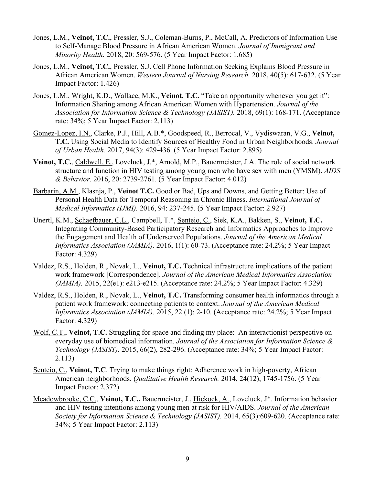- Jones, L.M., **Veinot, T.C.**, Pressler, S.J., Coleman-Burns, P., McCall, A. Predictors of Information Use to Self-Manage Blood Pressure in African American Women. *Journal of Immigrant and Minority Health.* 2018, 20: 569-576. (5 Year Impact Factor: 1.685)
- Jones, L.M., **Veinot, T.C.**, Pressler, S.J. Cell Phone Information Seeking Explains Blood Pressure in African American Women. *Western Journal of Nursing Research.* 2018, 40(5): 617-632. (5 Year Impact Factor: 1.426)
- Jones, L.M., Wright, K.D., Wallace, M.K., **Veinot, T.C.** "Take an opportunity whenever you get it": Information Sharing among African American Women with Hypertension. *Journal of the Association for Information Science & Technology (JASIST).* 2018, 69(1): 168-171. (Acceptance rate: 34%; 5 Year Impact Factor: 2.113)
- Gomez-Lopez, I.N., Clarke, P.J., Hill, A.B.\*, Goodspeed, R., Berrocal, V., Vydiswaran, V.G., **Veinot, T.C.** Using Social Media to Identify Sources of Healthy Food in Urban Neighborhoods. *Journal of Urban Health.* 2017, 94(3): 429-436. (5 Year Impact Factor: 2.895)
- **Veinot, T.C.**, Caldwell, E., Loveluck, J.\*, Arnold, M.P., Bauermeister, J.A. The role of social network structure and function in HIV testing among young men who have sex with men (YMSM). *AIDS & Behavior*. 2016, 20: 2739-2761. (5 Year Impact Factor: 4.012)
- Barbarin, A.M., Klasnja, P., **Veinot T.C.** Good or Bad, Ups and Downs, and Getting Better: Use of Personal Health Data for Temporal Reasoning in Chronic Illness. *International Journal of Medical Informatics (IJMI).* 2016, 94: 237-245. (5 Year Impact Factor: 2.927)
- Unertl, K.M., Schaefbauer, C.L., Campbell, T.\*, Senteio, C., Siek, K.A., Bakken, S., **Veinot, T.C.** Integrating Community-Based Participatory Research and Informatics Approaches to Improve the Engagement and Health of Underserved Populations. *Journal of the American Medical Informatics Association (JAMIA).* 2016, 1(1): 60-73. (Acceptance rate: 24.2%; 5 Year Impact Factor: 4.329)
- Valdez, R.S., Holden, R., Novak, L., **Veinot, T.C.** Technical infrastructure implications of the patient work framework [Correspondence]. *Journal of the American Medical Informatics Association (JAMIA).* 2015, 22(e1): e213-e215. (Acceptance rate: 24.2%; 5 Year Impact Factor: 4.329)
- Valdez, R.S., Holden, R., Novak, L., **Veinot, T.C.** Transforming consumer health informatics through a patient work framework: connecting patients to context. *Journal of the American Medical Informatics Association (JAMIA).* 2015, 22 (1): 2-10. (Acceptance rate: 24.2%; 5 Year Impact Factor: 4.329)
- Wolf, C.T., **Veinot, T.C.** Struggling for space and finding my place: An interactionist perspective on everyday use of biomedical information. *Journal of the Association for Information Science & Technology (JASIST).* 2015, 66(2), 282-296. (Acceptance rate: 34%; 5 Year Impact Factor: 2.113)
- Senteio, C., **Veinot, T.C**. Trying to make things right: Adherence work in high-poverty, African American neighborhoods*. Qualitative Health Research.* 2014, 24(12), 1745-1756. (5 Year Impact Factor: 2.372)
- Meadowbrooke, C.C., **Veinot, T.C.,** Bauermeister, J., Hickock, A., Loveluck, J\*. Information behavior and HIV testing intentions among young men at risk for HIV/AIDS. *Journal of the American Society for Information Science & Technology (JASIST).* 2014, 65(3):609-620. (Acceptance rate: 34%; 5 Year Impact Factor: 2.113)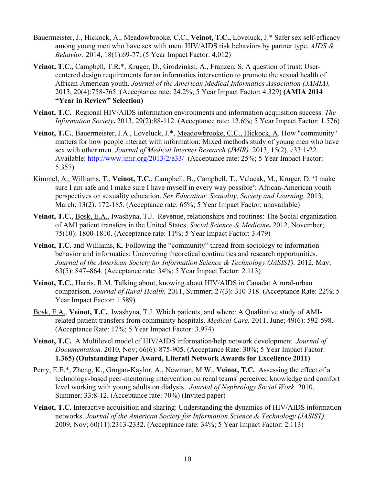- Bauermeister, J., Hickock, A., Meadowbrooke, C.C., **Veinot, T.C.,** Loveluck, J.\* Safer sex self-efficacy among young men who have sex with men: HIV/AIDS risk behaviors by partner type. *AIDS & Behavior.* 2014, 18(1):69-77. (5 Year Impact Factor: 4.012)
- **Veinot, T.C.**, Campbell, T.R.\*, Kruger, D., Grodzinksi, A., Franzen, S. A question of trust: Usercentered design requirements for an informatics intervention to promote the sexual health of African-American youth. *Journal of the American Medical Informatics Association (JAMIA).* 2013, 20(4):758-765. (Acceptance rate: 24.2%; 5 Year Impact Factor: 4.329) **(AMIA 2014 "Year in Review" Selection)**
- **Veinot, T.C.** Regional HIV/AIDS information environments and information acquisition success. *The Information Society***.** 2013, 29(2):88-112. (Acceptance rate: 12.6%; 5 Year Impact Factor: 1.576)
- Veinot, T.C., Bauermeister, J.A., Loveluck, J.\*, Meadowbrooke, C.C., Hickock, A. How "community" matters for how people interact with information: Mixed methods study of young men who have sex with other men. *Journal of Medical Internet Research (JMIR).* 2013, 15(2), e33:1-22. Available: http://www.jmir.org/2013/2/e33/ (Acceptance rate: 25%; 5 Year Impact Factor: 5.357)
- Kimmel, A., Williams, T., **Veinot, T.C.**, Campbell, B., Campbell, T., Valacak, M., Kruger, D. 'I make sure I am safe and I make sure I have myself in every way possible': African-American youth perspectives on sexuality education. *Sex Education: Sexuality, Society and Learning.* 2013, March; 13(2): 172-185. (Acceptance rate: 65%; 5 Year Impact Factor: unavailable)
- **Veinot, T.C.**, Bosk, E.A., Iwashyna, T.J. Revenue, relationships and routines: The Social organization of AMI patient transfers in the United States. *Social Science & Medicine***.** 2012, November; 75(10): 1800-1810. (Acceptance rate: 11%; 5 Year Impact Factor: 3.479)
- **Veinot, T.C.** and Williams, K. Following the "community" thread from sociology to information behavior and informatics: Uncovering theoretical continuities and research opportunities. *Journal of the American Society for Information Science & Technology (JASIST).* 2012, May; 63(5): 847–864. (Acceptance rate: 34%; 5 Year Impact Factor: 2.113)
- **Veinot, T.C.**, Harris, R.M. Talking about, knowing about HIV/AIDS in Canada: A rural-urban comparison. *Journal of Rural Health.* 2011, Summer; 27(3): 310-318. (Acceptance Rate: 22%; 5 Year Impact Factor: 1.589)
- Bosk, E.A., **Veinot, T.C.**, Iwashyna, T.J. Which patients, and where: A Qualitative study of AMIrelated patient transfers from community hospitals. *Medical Care.* 2011, June; 49(6): 592-598. (Acceptance Rate: 17%; 5 Year Impact Factor: 3.974)
- **Veinot, T.C.** A Multilevel model of HIV/AIDS information/help network development. *Journal of Documentation.* 2010, Nov; 66(6): 875-905. (Acceptance Rate: 30%; 5 Year Impact Factor: **1.365) (Outstanding Paper Award, Literati Network Awards for Excellence 2011)**
- Perry, E.E.\*, Zheng, K., Grogan-Kaylor, A., Newman, M.W., **Veinot, T.C.** Assessing the effect of a technology-based peer-mentoring intervention on renal teams' perceived knowledge and comfort level working with young adults on dialysis. *Journal of Nephrology Social Work.* 2010, Summer; 33:8-12. (Acceptance rate: 70%) (Invited paper)
- **Veinot, T.C.** Interactive acquisition and sharing: Understanding the dynamics of HIV/AIDS information networks. *Journal of the American Society for Information Science & Technology (JASIST).* 2009, Nov; 60(11):2313-2332. (Acceptance rate: 34%; 5 Year Impact Factor: 2.113)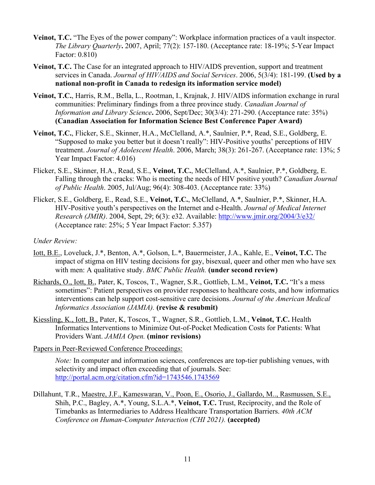- **Veinot, T.C.** "The Eyes of the power company": Workplace information practices of a vault inspector. *The Library Quarterly***.** 2007, April; 77(2): 157-180. (Acceptance rate: 18-19%; 5-Year Impact Factor: 0.810)
- **Veinot, T.C.** The Case for an integrated approach to HIV/AIDS prevention, support and treatment services in Canada. *Journal of HIV/AIDS and Social Services*. 2006, 5(3/4): 181-199. **(Used by a national non-profit in Canada to redesign its information service model)**
- **Veinot, T.C.**, Harris, R.M., Bella, L., Rootman, I., Krajnak, J. HIV/AIDS information exchange in rural communities: Preliminary findings from a three province study. *Canadian Journal of Information and Library Science***.** 2006, Sept/Dec; 30(3/4): 271-290. (Acceptance rate: 35%) **(Canadian Association for Information Science Best Conference Paper Award)**
- **Veinot, T.C.**, Flicker, S.E., Skinner, H.A., McClelland, A.\*, Saulnier, P.\*, Read, S.E., Goldberg, E. "Supposed to make you better but it doesn't really": HIV-Positive youths' perceptions of HIV treatment. *Journal of Adolescent Health*. 2006, March; 38(3): 261-267. (Acceptance rate: 13%; 5 Year Impact Factor: 4.016)
- Flicker, S.E., Skinner, H.A., Read, S.E., **Veinot, T.C.**, McClelland, A.\*, Saulnier, P.\*, Goldberg, E. Falling through the cracks: Who is meeting the needs of HIV positive youth? *Canadian Journal of Public Health*. 2005, Jul/Aug; 96(4): 308-403. (Acceptance rate: 33%)
- Flicker, S.E., Goldberg, E., Read, S.E., **Veinot, T.C.**, McClelland, A.\*, Saulnier, P.\*, Skinner, H.A. HIV-Positive youth's perspectives on the Internet and e-Health. *Journal of Medical Internet Research (JMIR)*. 2004, Sept, 29; 6(3): e32. Available: http://www.jmir.org/2004/3/e32/ (Acceptance rate: 25%; 5 Year Impact Factor: 5.357)

#### *Under Review:*

- Iott, B.E., Loveluck, J.\*, Benton, A.\*, Golson, L.\*, Bauermeister, J.A., Kahle, E., **Veinot, T.C.** The impact of stigma on HIV testing decisions for gay, bisexual, queer and other men who have sex with men: A qualitative study. *BMC Public Health.* **(under second review)**
- Richards, O., Iott, B., Pater, K, Toscos, T., Wagner, S.R., Gottlieb, L.M., **Veinot, T.C.** "It's a mess sometimes": Patient perspectives on provider responses to healthcare costs, and how informatics interventions can help support cost-sensitive care decisions. *Journal of the American Medical Informatics Association (JAMIA).* **(revise & resubmit)**
- Kiessling, K., Iott, B., Pater, K, Toscos, T., Wagner, S.R., Gottlieb, L.M., **Veinot, T.C.** Health Informatics Interventions to Minimize Out-of-Pocket Medication Costs for Patients: What Providers Want. *JAMIA Open.* **(minor revisions)**

Papers in Peer-Reviewed Conference Proceedings:

*Note:* In computer and information sciences, conferences are top-tier publishing venues, with selectivity and impact often exceeding that of journals. See: http://portal.acm.org/citation.cfm?id=1743546.1743569

Dillahunt, T.R., Maestre, J.F., Kameswaran, V., Poon, E., Osorio, J., Gallardo, M.., Rasmussen, S.E., Shih, P.C., Bagley, A.\*, Young, S.L.A.\*, **Veinot, T.C.** Trust, Reciprocity, and the Role of Timebanks as Intermediaries to Address Healthcare Transportation Barriers. *40th ACM Conference on Human-Computer Interaction (CHI 2021).* **(accepted)**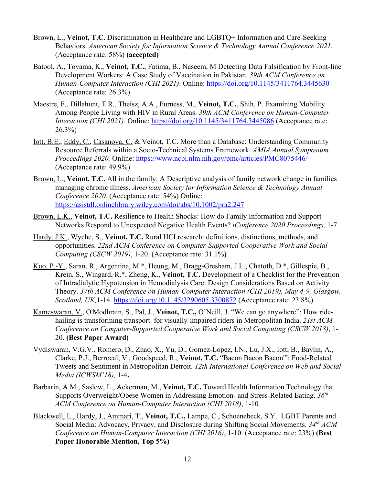- Brown, L., **Veinot, T.C.** Discrimination in Healthcare and LGBTQ+ Information and Care-Seeking Behaviors. *American Society for Information Science & Technology Annual Conference 2021.* (Acceptance rate: 58%) **(accepted)**
- Batool, A., Toyama, K., **Veinot, T.C.**, Fatima, B., Naseem, M Detecting Data Falsification by Front-line Development Workers: A Case Study of Vaccination in Pakistan. *39th ACM Conference on Human-Computer Interaction (CHI 2021)*. Online: https://doi.org/10.1145/3411764.3445630 (Acceptance rate: 26.3%)
- Maestre, F., Dillahunt, T.R., Theisz, A.A., Furness, M., **Veinot, T.C.**, Shih, P. Examining Mobility Among People Living with HIV in Rural Areas. *39th ACM Conference on Human-Computer Interaction (CHI 2021).* Online: https://doi.org/10.1145/3411764.3445086 (Acceptance rate: 26.3%)
- Iott, B.E., Eddy, C., Casanova, C. & Veinot, T.C. More than a Database: Understanding Community Resource Referrals within a Socio-Technical Systems Framework. *AMIA Annual Symposium Proceedings 2020.* Online: https://www.ncbi.nlm.nih.gov/pmc/articles/PMC8075446/ (Acceptance rate: 49.9%)
- Brown, L., **Veinot, T.C.** All in the family: A Descriptive analysis of family network change in families managing chronic illness. *American Society for Information Science & Technology Annual Conference 2020.* (Acceptance rate: 54%) Online: https://asistdl.onlinelibrary.wiley.com/doi/abs/10.1002/pra2.247
- Brown, L.K., **Veinot, T.C.** Resilience to Health Shocks: How do Family Information and Support Networks Respond to Unexpected Negative Health Events? *iConference 2020 Proceedings,* 1-7.
- Hardy, J.K., Wyche, S., **Veinot, T.C.** Rural HCI research: definitions, distinctions, methods, and opportunities. *22nd ACM Conference on Computer-Supported Cooperative Work and Social Computing (CSCW 2019)*, 1-20. (Acceptance rate: 31.1%)
- Kuo, P.-Y., Saran, R., Argentina, M.\*, Heung, M., Bragg-Gresham, J.L., Chatoth, D.\*, Gillespie, B., Krein, S., Wingard, R.\*, Zheng, K., **Veinot, T.C.** Development of a Checklist for the Prevention of Intradialytic Hypotension in Hemodialysis Care: Design Considerations Based on Activity Theory. *37th ACM Conference on Human-Computer Interaction (CHI 2019), May 4-9, Glasgow, Scotland, UK,*1-14. https://doi.org/10.1145/3290605.3300872 (Acceptance rate: 23.8%)
- Kameswaran, V., O'Modhrain, S., Pal, J., **Veinot, T.C.,** O'Neill, J. "We can go anywhere": How ridehailing is transforming transport for visually-impaired riders in Metropolitan India. *21st ACM Conference on Computer-Supported Cooperative Work and Social Computing (CSCW 2018)*, 1- 20. **(Best Paper Award)**
- Vydiswaran, V.G.V., Romero, D., Zhao, X., Yu, D., Gomez-Lopez, I.N., Lu, J.X., Iott, B., Baylin, A., Clarke, P.J., Berrocal, V., Goodspeed, R., **Veinot, T.C.** "Bacon Bacon Bacon'": Food-Related Tweets and Sentiment in Metropolitan Detroit. *12th International Conference on Web and Social Media (ICWSM'18),* 1-4**.**
- Barbarin, A.M., Saslow, L., Ackerman, M., **Veinot, T.C.** Toward Health Information Technology that Supports Overweight/Obese Women in Addressing Emotion- and Stress-Related Eating. *36th ACM Conference on Human-Computer Interaction (CHI 2018)*, 1-10*.*
- Blackwell, L., Hardy, J., Ammari, T., **Veinot, T.C.,** Lampe, C., Schoenebeck, S.Y. LGBT Parents and Social Media: Advocacy, Privacy, and Disclosure during Shifting Social Movements. *34th ACM Conference on Human-Computer Interaction (CHI 2016)*, 1-10. (Acceptance rate: 23%) **(Best Paper Honorable Mention, Top 5%)**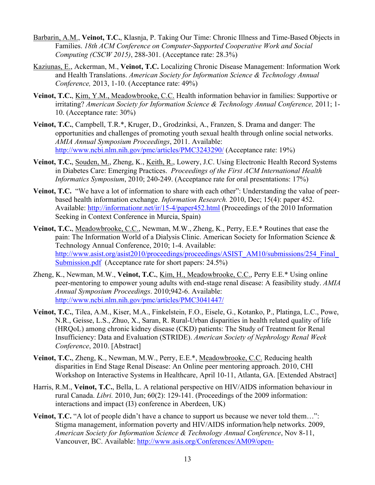- Barbarin, A.M., **Veinot, T.C.**, Klasnja, P. Taking Our Time: Chronic Illness and Time-Based Objects in Families. *18th ACM Conference on Computer-Supported Cooperative Work and Social Computing (CSCW 2015)*, 288-301. (Acceptance rate: 28.3%)
- Kaziunas, E., Ackerman, M., **Veinot, T.C.** Localizing Chronic Disease Management: Information Work and Health Translations. *American Society for Information Science & Technology Annual Conference,* 2013, 1-10. (Acceptance rate: 49%)
- **Veinot, T.C.**, Kim, Y.M., Meadowbrooke, C.C. Health information behavior in families: Supportive or irritating? *American Society for Information Science & Technology Annual Conference,* 2011; 1- 10. (Acceptance rate: 30%)
- **Veinot, T.C.**, Campbell, T.R.\*, Kruger, D., Grodzinksi, A., Franzen, S. Drama and danger: The opportunities and challenges of promoting youth sexual health through online social networks. *AMIA Annual Symposium Proceedings*, 2011. Available: http://www.ncbi.nlm.nih.gov/pmc/articles/PMC3243290/ (Acceptance rate: 19%)
- **Veinot, T.C.**, Souden, M., Zheng, K., Keith, R., Lowery, J.C. Using Electronic Health Record Systems in Diabetes Care: Emerging Practices. *Proceedings of the First ACM International Health Informatics Symposium*, 2010; 240-249. (Acceptance rate for oral presentations: 17%)
- **Veinot, T.C.** "We have a lot of information to share with each other": Understanding the value of peerbased health information exchange. *Information Research.* 2010, Dec; 15(4): paper 452. Available: http://informationr.net/ir/15-4/paper452.html (Proceedings of the 2010 Information Seeking in Context Conference in Murcia, Spain)
- **Veinot, T.C.**, Meadowbrooke, C.C., Newman, M.W., Zheng, K., Perry, E.E.\* Routines that ease the pain: The Information World of a Dialysis Clinic. American Society for Information Science & Technology Annual Conference, 2010; 1-4. Available: http://www.asist.org/asist2010/proceedings/proceedings/ASIST\_AM10/submissions/254\_Final\_ Submission.pdf (Acceptance rate for short papers: 24.5%)
- Zheng, K., Newman, M.W., **Veinot, T.C.**, Kim, H., Meadowbrooke, C.C., Perry E.E.\* Using online peer-mentoring to empower young adults with end-stage renal disease: A feasibility study. *AMIA Annual Symposium Proceedings*. 2010;942-6. Available: http://www.ncbi.nlm.nih.gov/pmc/articles/PMC3041447/
- **Veinot, T.C.**, Tilea, A.M., Kiser, M.A., Finkelstein, F.O., Eisele, G., Kotanko, P., Platinga, L.C., Powe, N.R., Geisse, L.S., Zhuo, X., Saran, R. Rural-Urban disparities in health related quality of life (HRQoL) among chronic kidney disease (CKD) patients: The Study of Treatment for Renal Insufficiency: Data and Evaluation (STRIDE). *American Society of Nephrology Renal Week Conference*, 2010. [Abstract]
- **Veinot, T.C.**, Zheng, K., Newman, M.W., Perry, E.E.\*, Meadowbrooke, C.C. Reducing health disparities in End Stage Renal Disease: An Online peer mentoring approach. 2010, CHI Workshop on Interactive Systems in Healthcare, April 10-11, Atlanta, GA. [Extended Abstract]
- Harris, R.M., **Veinot, T.C.**, Bella, L. A relational perspective on HIV/AIDS information behaviour in rural Canada. *Libri.* 2010, Jun; 60(2): 129-141. (Proceedings of the 2009 information: interactions and impact (I3) conference in Aberdeen, UK)
- **Veinot, T.C.** "A lot of people didn't have a chance to support us because we never told them...": Stigma management, information poverty and HIV/AIDS information/help networks. 2009, *American Society for Information Science & Technology Annual Conference*, Nov 8-11, Vancouver, BC. Available: http://www.asis.org/Conferences/AM09/open-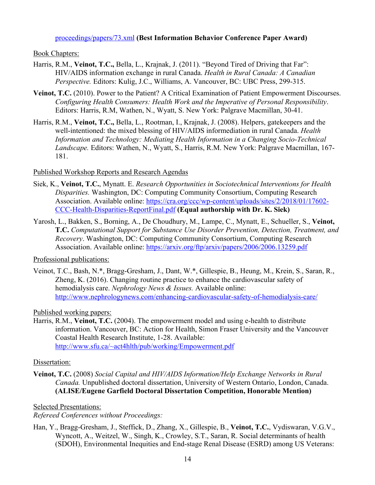### proceedings/papers/73.xml **(Best Information Behavior Conference Paper Award)**

### Book Chapters:

- Harris, R.M., **Veinot, T.C.,** Bella, L., Krajnak, J. (2011). "Beyond Tired of Driving that Far": HIV/AIDS information exchange in rural Canada. *Health in Rural Canada: A Canadian Perspective.* Editors: Kulig, J.C., Williams, A. Vancouver, BC: UBC Press, 299-315.
- **Veinot, T.C.** (2010). Power to the Patient? A Critical Examination of Patient Empowerment Discourses. *Configuring Health Consumers: Health Work and the Imperative of Personal Responsibility*. Editors: Harris, R.M, Wathen, N., Wyatt, S. New York: Palgrave Macmillan, 30-41.
- Harris, R.M., **Veinot, T.C.,** Bella, L., Rootman, I., Krajnak, J. (2008). Helpers, gatekeepers and the well-intentioned: the mixed blessing of HIV/AIDS informediation in rural Canada. *Health Information and Technology: Mediating Health Information in a Changing Socio-Technical Landscape.* Editors: Wathen, N., Wyatt, S., Harris, R.M. New York: Palgrave Macmillan, 167- 181.

### Published Workshop Reports and Research Agendas

- Siek, K., **Veinot, T.C.**, Mynatt. E. *Research Opportunities in Sociotechnical Interventions for Health Disparities.* Washington, DC: Computing Community Consortium, Computing Research Association. Available online: https://cra.org/ccc/wp-content/uploads/sites/2/2018/01/17602- CCC-Health-Disparities-ReportFinal.pdf **(Equal authorship with Dr. K. Siek)**
- Yarosh, L., Bakken, S., Borning, A., De Choudhury, M., Lampe, C., Mynatt, E., Schueller, S., **Veinot, T.C.** *Computational Support for Substance Use Disorder Prevention, Detection, Treatment, and Recovery*. Washington, DC: Computing Community Consortium, Computing Research Association. Available online: https://arxiv.org/ftp/arxiv/papers/2006/2006.13259.pdf

# Professional publications:

Veinot, T.C., Bash, N.\*, Bragg-Gresham, J., Dant, W.\*, Gillespie, B., Heung, M., Krein, S., Saran, R., Zheng, K. (2016). Changing routine practice to enhance the cardiovascular safety of hemodialysis care. *Nephrology News & Issues.* Available online: http://www.nephrologynews.com/enhancing-cardiovascular-safety-of-hemodialysis-care/

### Published working papers:

Harris, R.M., **Veinot, T.C.** (2004). The empowerment model and using e-health to distribute information. Vancouver, BC: Action for Health, Simon Fraser University and the Vancouver Coastal Health Research Institute, 1-28. Available: http://www.sfu.ca/~act4hlth/pub/working/Empowerment.pdf

### Dissertation:

**Veinot, T.C.** (2008) *Social Capital and HIV/AIDS Information/Help Exchange Networks in Rural Canada.* Unpublished doctoral dissertation, University of Western Ontario, London, Canada. **(ALISE/Eugene Garfield Doctoral Dissertation Competition, Honorable Mention)**

### Selected Presentations:

### *Refereed Conferences without Proceedings:*

Han, Y., Bragg-Gresham, J., Steffick, D., Zhang, X., Gillespie, B., **Veinot, T.C.**, Vydiswaran, V.G.V., Wyncott, A., Weitzel, W., Singh, K., Crowley, S.T., Saran, R. Social determinants of health (SDOH), Environmental Inequities and End-stage Renal Disease (ESRD) among US Veterans: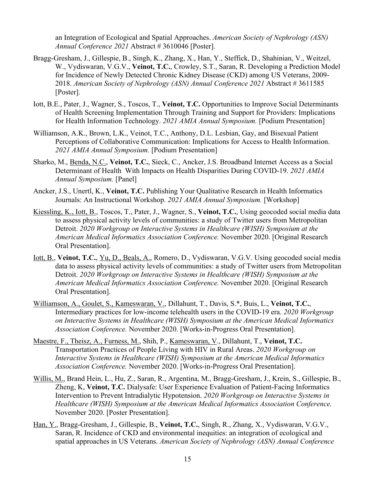an Integration of Ecological and Spatial Approaches. *American Society of Nephrology (ASN) Annual Conference 2021* Abstract # 3610046 [Poster].

- Bragg-Gresham, J., Gillespie, B., Singh, K., Zhang, X., Han, Y., Steffick, D., Shahinian, V., Weitzel, W., Vydiswaran, V.G.V., **Veinot, T.C.**, Crowley, S.T., Saran, R. Developing a Prediction Model for Incidence of Newly Detected Chronic Kidney Disease (CKD) among US Veterans, 2009- 2018. *American Society of Nephrology (ASN) Annual Conference 2021* Abstract # 3611585 [Poster].
- Iott, B.E., Pater, J., Wagner, S., Toscos, T., **Veinot, T.C.** Opportunities to Improve Social Determinants of Health Screening Implementation Through Training and Support for Providers: Implications for Health Information Technology. *2021 AMIA Annual Symposium.* [Podium Presentation]
- Williamson, A.K., Brown, L.K., Veinot, T.C., Anthony, D.L. Lesbian, Gay, and Bisexual Patient Perceptions of Collaborative Communication: Implications for Access to Health Information. *2021 AMIA Annual Symposium.* [Podium Presentation]
- Sharko, M., Benda, N.C., **Veinot, T.C.**, Sieck, C., Ancker, J.S. Broadband Internet Access as a Social Determinant of Health With Impacts on Health Disparities During COVID-19. *2021 AMIA Annual Symposium.* [Panel]
- Ancker, J.S., Unertl, K., **Veinot, T.C.** Publishing Your Qualitative Research in Health Informatics Journals: An Instructional Workshop. *2021 AMIA Annual Symposium.* [Workshop]
- Kiessling, K., Iott, B., Toscos, T., Pater, J., Wagner, S., **Veinot, T.C.**, Using geocoded social media data to assess physical activity levels of communities: a study of Twitter users from Metropolitan Detroit. *2020 Workgroup on Interactive Systems in Healthcare (WISH) Symposium at the American Medical Informatics Association Conference.* November 2020. [Original Research Oral Presentation].
- Iott, B., **Veinot, T.C.**, Yu, D., Beals, A., Romero, D., Vydiswaran, V.G.V. Using geocoded social media data to assess physical activity levels of communities: a study of Twitter users from Metropolitan Detroit. *2020 Workgroup on Interactive Systems in Healthcare (WISH) Symposium at the American Medical Informatics Association Conference.* November 2020. [Original Research Oral Presentation].
- Williamson, A., Goulet, S., Kameswaran, V., Dillahunt, T., Davis, S.\*, Buis, L., **Veinot, T.C.**, Intermediary practices for low-income telehealth users in the COVID-19 era. *2020 Workgroup on Interactive Systems in Healthcare (WISH) Symposium at the American Medical Informatics Association Conference.* November 2020. [Works-in-Progress Oral Presentation].
- Maestre, F., Theisz, A., Furness, M., Shih, P., Kameswaran, V., Dillahunt, T., **Veinot, T.C.** Transportation Practices of People Living with HIV in Rural Areas. *2020 Workgroup on Interactive Systems in Healthcare (WISH) Symposium at the American Medical Informatics Association Conference.* November 2020. [Works-in-Progress Oral Presentation].
- Willis, M., Brand Hein, L., Hu, Z., Saran, R., Argentina, M., Bragg-Gresham, J., Krein, S., Gillespie, B., Zheng, K, **Veinot, T.C.** Dialysafe: User Experience Evaluation of Patient-Facing Informatics Intervention to Prevent Intradialytic Hypotension. *2020 Workgroup on Interactive Systems in Healthcare (WISH) Symposium at the American Medical Informatics Association Conference.* November 2020. [Poster Presentation].
- Han, Y., Bragg-Gresham, J., Gillespie, B., **Veinot, T.C.**, Singh, R., Zhang, X., Vydiswaran, V.G.V., Saran, R. Incidence of CKD and environmental inequities: an integration of ecological and spatial approaches in US Veterans. *American Society of Nephrology (ASN) Annual Conference*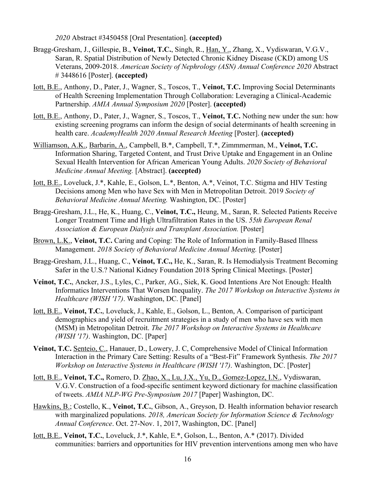*2020* Abstract #3450458 [Oral Presentation]. **(accepted)**

- Bragg-Gresham, J., Gillespie, B., **Veinot, T.C.**, Singh, R., Han, Y., Zhang, X., Vydiswaran, V.G.V., Saran, R. Spatial Distribution of Newly Detected Chronic Kidney Disease (CKD) among US Veterans, 2009-2018. *American Society of Nephrology (ASN) Annual Conference 2020* Abstract # 3448616 [Poster]. **(accepted)**
- Iott, B.E., Anthony, D., Pater, J., Wagner, S., Toscos, T., **Veinot, T.C.** Improving Social Determinants of Health Screening Implementation Through Collaboration: Leveraging a Clinical-Academic Partnership. *AMIA Annual Symposium 2020* [Poster]. **(accepted)**
- Iott, B.E., Anthony, D., Pater, J., Wagner, S., Toscos, T., **Veinot, T.C.** Nothing new under the sun: how existing screening programs can inform the design of social determinants of health screening in health care. *AcademyHealth 2020 Annual Research Meeting* [Poster]. **(accepted)**
- Williamson, A.K., Barbarin, A., Campbell, B.\*, Campbell, T.\*, Zimmmerman, M., **Veinot, T.C.** Information Sharing, Targeted Content, and Trust Drive Uptake and Engagement in an Online Sexual Health Intervention for African American Young Adults. *2020 Society of Behavioral Medicine Annual Meeting.* [Abstract]. **(accepted)**
- Iott, B.E., Loveluck, J.\*, Kahle, E., Golson, L.\*, Benton, A.\*, Veinot, T.C. Stigma and HIV Testing Decisions among Men who have Sex with Men in Metropolitan Detroit. 2019 *Society of Behavioral Medicine Annual Meeting.* Washington, DC. [Poster]
- Bragg-Gresham, J.L., He, K., Huang, C., **Veinot, T.C.,** Heung, M., Saran, R. Selected Patients Receive Longer Treatment Time and High Ultrafiltration Rates in the US. *55th European Renal Association & European Dialysis and Transplant Association.* [Poster]
- Brown, L.K., **Veinot, T.C.** Caring and Coping: The Role of Information in Family-Based Illness Management. *2018 Society of Behavioral Medicine Annual Meeting.* [Poster]
- Bragg-Gresham, J.L., Huang, C., **Veinot, T.C.,** He, K., Saran, R. Is Hemodialysis Treatment Becoming Safer in the U.S.? National Kidney Foundation 2018 Spring Clinical Meetings. [Poster]
- **Veinot, T.C.**, Ancker, J.S., Lyles, C., Parker, AG., Siek, K. Good Intentions Are Not Enough: Health Informatics Interventions That Worsen Inequality. *The 2017 Workshop on Interactive Systems in Healthcare (WISH '17)*. Washington, DC. [Panel]
- Iott, B.E., **Veinot, T.C.**, Loveluck, J., Kahle, E., Golson, L., Benton, A. Comparison of participant demographics and yield of recruitment strategies in a study of men who have sex with men (MSM) in Metropolitan Detroit. *The 2017 Workshop on Interactive Systems in Healthcare (WISH '17)*. Washington, DC. [Paper]
- **Veinot, T.C.** Senteio, C., Hanauer, D., Lowery, J. C, Comprehensive Model of Clinical Information Interaction in the Primary Care Setting: Results of a "Best-Fit" Framework Synthesis. *The 2017 Workshop on Interactive Systems in Healthcare (WISH '17)*. Washington, DC. [Poster]
- Iott, B.E., **Veinot, T.C.,** Romero, D. Zhao, X., Lu, J.X., Yu, D., Gomez-Lopez, I.N., Vydiswaran, V.G.V. Construction of a food-specific sentiment keyword dictionary for machine classification of tweets. *AMIA NLP-WG Pre-Symposium 2017* [Paper] Washington, DC.
- Hawkins, B.; Costello, K., **Veinot, T.C.**, Gibson, A., Greyson, D. Health information behavior research with marginalized populations. *2018, American Society for Information Science & Technology Annual Conference*. Oct. 27-Nov. 1, 2017, Washington, DC. [Panel]
- Iott, B.E., **Veinot, T.C.**, Loveluck, J.\*, Kahle, E.\*, Golson, L., Benton, A.\* (2017). Divided communities: barriers and opportunities for HIV prevention interventions among men who have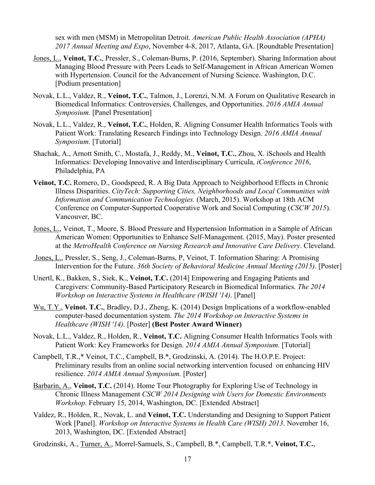sex with men (MSM) in Metropolitan Detroit. *American Public Health Association (APHA) 2017 Annual Meeting and Expo*, November 4-8, 2017, Atlanta, GA. [Roundtable Presentation]

- Jones, L., **Veinot, T.C.**, Pressler, S., Coleman-Burns, P. (2016, September). Sharing Information about Managing Blood Pressure with Peers Leads to Self-Management in African American Women with Hypertension. Council for the Advancement of Nursing Science. Washington, D.C. [Podium presentation]
- Novak, L.L., Valdez, R., **Veinot, T.C.**, Talmon, J., Lorenzi, N.M. A Forum on Qualitative Research in Biomedical Informatics: Controversies, Challenges, and Opportunities. *2016 AMIA Annual Symposium.* [Panel Presentation]
- Novak, L.L., Valdez, R., **Veinot, T.C.**, Holden, R. Aligning Consumer Health Informatics Tools with Patient Work: Translating Research Findings into Technology Design. *2016 AMIA Annual Symposium.* [Tutorial]
- Shachak, A., Arnott Smith, C., Mostafa, J., Reddy, M., **Veinot, T.C.**, Zhou, X. iSchools and Health Informatics: Developing Innovative and Interdisciplinary Curricula, *iConference 2016*, Philadelphia, PA
- **Veinot, T.C.** Romero, D., Goodspeed, R. A Big Data Approach to Neighborhood Effects in Chronic Illness Disparities. *CityTech: Supporting Cities, Neighborhoods and Local Communities with Information and Communication Technologies.* (March, 2015). Workshop at 18th ACM Conference on Computer-Supported Cooperative Work and Social Computing (*CSCW 2015*). Vancouver, BC.
- Jones, L., Veinot, T., Moore, S. Blood Pressure and Hypertension Information in a Sample of African American Women: Opportunities to Enhance Self-Management. (2015, May). Poster presented at the *MetroHealth Conference on Nursing Research and Innovative Care Delivery*. Cleveland.
- Jones, L., Pressler, S., Seng, J., Coleman-Burns, P, Veinot, T. Information Sharing: A Promising Intervention for the Future. *36th Society of Behavioral Medicine Annual Meeting (2015).* [Poster]
- Unertl, K., Bakken, S., Siek, K., **Veinot, T.C.** (2014] Empowering and Engaging Patients and Caregivers: Community-Based Participatory Research in Biomedical Informatics. *The 2014 Workshop on Interactive Systems in Healthcare (WISH '14)*. [Panel]
- Wu, T.Y., **Veinot. T.C.**, Bradley, D.J., Zheng, K. (2014) Design Implications of a workflow-enabled computer-based documentation system. *The 2014 Workshop on Interactive Systems in Healthcare (WISH '14).* [Poster] **(Best Poster Award Winner)**
- Novak, L.L., Valdez, R., Holden, R., **Veinot, T.C.** Aligning Consumer Health Informatics Tools with Patient Work: Key Frameworks for Design. *2014 AMIA Annual Symposium.* [Tutorial]
- Campbell, T.R.,\* Veinot, T.C., Campbell, B.\*, Grodzinski, A. (2014). The H.O.P.E. Project: Preliminary results from an online social networking intervention focused on enhancing HIV resilience. *2014 AMIA Annual Symposium.* [Poster]
- Barbarin, A., **Veinot, T.C.** (2014). Home Tour Photography for Exploring Use of Technology in Chronic Illness Management *CSCW 2014 Designing with Users for Domestic Environments Workshop.* February 15, 2014, Washington, DC. [Extended Abstract]
- Valdez, R., Holden, R., Novak, L. and **Veinot, T.C.** Understanding and Designing to Support Patient Work [Panel]. *Workshop on Interactive Systems in Health Care (WISH) 2013*. November 16, 2013, Washington, DC. [Extended Abstract]
- Grodzinski, A., Turner, A., Morrel-Samuels, S., Campbell, B.\*, Campbell, T.R.\*, **Veinot, T.C.**,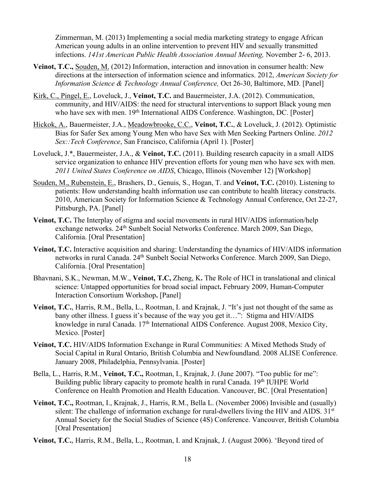Zimmerman, M. (2013) Implementing a social media marketing strategy to engage African American young adults in an online intervention to prevent HIV and sexually transmitted infections. *141st American Public Health Association Annual Meeting,* November 2- 6, 2013.

- **Veinot, T.C.,** Souden, M. (2012) Information, interaction and innovation in consumer health: New directions at the intersection of information science and informatics. 2012, *American Society for Information Science & Technology Annual Conference,* Oct 26-30, Baltimore, MD. [Panel]
- Kirk, C., Pingel, E., Loveluck, J., **Veinot, T.C.** and Bauermeister, J.A. (2012). Communication, community, and HIV/AIDS: the need for structural interventions to support Black young men who have sex with men. 19<sup>th</sup> International AIDS Conference. Washington, DC. [Poster]
- Hickok, A., Bauermeister, J.A., Meadowbrooke, C.C., **Veinot, T.C.**, & Loveluck, J. (2012). Optimistic Bias for Safer Sex among Young Men who have Sex with Men Seeking Partners Online. *2012 Sex::Tech Conference*, San Francisco, California (April 1). [Poster]
- Loveluck, J.\*, Bauermeister, J.A., & **Veinot, T.C.** (2011). Building research capacity in a small AIDS service organization to enhance HIV prevention efforts for young men who have sex with men. *2011 United States Conference on AIDS*, Chicago, Illinois (November 12) [Workshop]
- Souden, M., Rubenstein, E., Brashers, D., Genuis, S., Hogan, T. and **Veinot, T.C.** (2010). Listening to patients: How understanding health information use can contribute to health literacy constructs. 2010, American Society for Information Science & Technology Annual Conference, Oct 22-27, Pittsburgh, PA. [Panel]
- **Veinot, T.C.** The Interplay of stigma and social movements in rural HIV/AIDS information/help exchange networks. 24<sup>th</sup> Sunbelt Social Networks Conference. March 2009, San Diego, California. [Oral Presentation]
- **Veinot, T.C.** Interactive acquisition and sharing: Understanding the dynamics of HIV/AIDS information networks in rural Canada. 24<sup>th</sup> Sunbelt Social Networks Conference. March 2009, San Diego, California. [Oral Presentation]
- Bhavnani, S.K., Newman, M.W., **Veinot, T.C,** Zheng, K**.** The Role of HCI in translational and clinical science: Untapped opportunities for broad social impact**.** February 2009, Human-Computer Interaction Consortium Workshop**.** [Panel]
- **Veinot, T.C.**, Harris, R.M., Bella, L., Rootman, I. and Krajnak, J. "It's just not thought of the same as bany other illness. I guess it's because of the way you get it...": Stigma and HIV/AIDS knowledge in rural Canada.  $17<sup>th</sup>$  International AIDS Conference. August 2008, Mexico City, Mexico. [Poster]
- **Veinot, T.C.** HIV/AIDS Information Exchange in Rural Communities: A Mixed Methods Study of Social Capital in Rural Ontario, British Columbia and Newfoundland. 2008 ALISE Conference. January 2008, Philadelphia, Pennsylvania. [Poster]
- Bella, L., Harris, R.M., **Veinot, T.C.,** Rootman, I., Krajnak, J. (June 2007). "Too public for me": Building public library capacity to promote health in rural Canada. 19<sup>th</sup> IUHPE World Conference on Health Promotion and Health Education. Vancouver, BC. [Oral Presentation]
- **Veinot, T.C.,** Rootman, I., Krajnak, J., Harris, R.M., Bella L. (November 2006) Invisible and (usually) silent: The challenge of information exchange for rural-dwellers living the HIV and AIDS.  $31<sup>st</sup>$ Annual Society for the Social Studies of Science (4S) Conference. Vancouver, British Columbia [Oral Presentation]
- **Veinot, T.C.**, Harris, R.M., Bella, L., Rootman, I. and Krajnak, J. (August 2006). 'Beyond tired of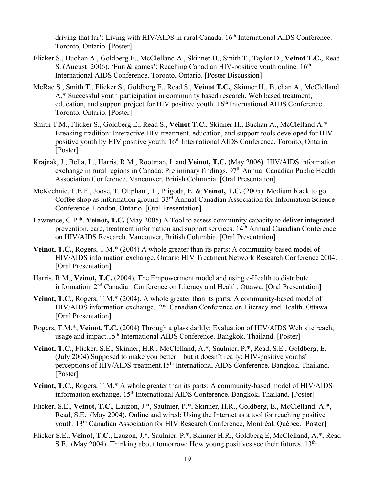driving that far': Living with HIV/AIDS in rural Canada. 16<sup>th</sup> International AIDS Conference. Toronto, Ontario. [Poster]

- Flicker S., Buchan A., Goldberg E., McClelland A., Skinner H., Smith T., Taylor D., **Veinot T.C.**, Read S. (August 2006). 'Fun & games': Reaching Canadian HIV-positive youth online.  $16<sup>th</sup>$ International AIDS Conference. Toronto, Ontario. [Poster Discussion]
- McRae S., Smith T., Flicker S., Goldberg E., Read S., **Veinot T.C.**, Skinner H., Buchan A., McClelland A.\* Successful youth participation in community based research. Web based treatment, education, and support project for HIV positive youth. 16<sup>th</sup> International AIDS Conference. Toronto, Ontario. [Poster]
- Smith T.M., Flicker S., Goldberg E., Read S., **Veinot T.C.**, Skinner H., Buchan A., McClelland A.\* Breaking tradition: Interactive HIV treatment, education, and support tools developed for HIV positive youth by HIV positive youth. 16<sup>th</sup> International AIDS Conference. Toronto, Ontario. [Poster]
- Krajnak, J., Bella, L., Harris, R.M., Rootman, I. and **Veinot, T.C.** (May 2006). HIV/AIDS information exchange in rural regions in Canada: Preliminary findings. 97<sup>th</sup> Annual Canadian Public Health Association Conference. Vancouver, British Columbia. [Oral Presentation]
- McKechnie, L.E.F., Joose, T. Oliphant, T., Prigoda, E. & **Veinot, T.C.** (2005). Medium black to go: Coffee shop as information ground. 33rd Annual Canadian Association for Information Science Conference. London, Ontario. [Oral Presentation]
- Lawrence, G.P.\*, **Veinot, T.C.** (May 2005) A Tool to assess community capacity to deliver integrated prevention, care, treatment information and support services. 14<sup>th</sup> Annual Canadian Conference on HIV/AIDS Research. Vancouver, British Columbia. [Oral Presentation]
- **Veinot, T.C.**, Rogers, T.M.\* (2004) A whole greater than its parts: A community-based model of HIV/AIDS information exchange. Ontario HIV Treatment Network Research Conference 2004. [Oral Presentation]
- Harris, R.M., **Veinot, T.C.** (2004). The Empowerment model and using e-Health to distribute information. 2nd Canadian Conference on Literacy and Health. Ottawa. [Oral Presentation]
- **Veinot, T.C.**, Rogers, T.M.\* (2004). A whole greater than its parts: A community-based model of HIV/AIDS information exchange. 2<sup>nd</sup> Canadian Conference on Literacy and Health. Ottawa. [Oral Presentation]
- Rogers, T.M.\*, **Veinot, T.C.** (2004) Through a glass darkly: Evaluation of HIV/AIDS Web site reach, usage and impact.15<sup>th</sup> International AIDS Conference. Bangkok, Thailand. [Poster]
- **Veinot, T.C.**, Flicker, S.E., Skinner, H.R., McClelland, A.\*, Saulnier, P.\*, Read, S.E., Goldberg, E. (July 2004) Supposed to make you better – but it doesn't really: HIV-positive youths' perceptions of HIV/AIDS treatment.15<sup>th</sup> International AIDS Conference. Bangkok, Thailand. [Poster]
- **Veinot, T.C.**, Rogers, T.M.\* A whole greater than its parts: A community-based model of HIV/AIDS information exchange. 15<sup>th</sup> International AIDS Conference. Bangkok, Thailand. [Poster]
- Flicker, S.E., **Veinot, T.C.**, Lauzon, J.\*, Saulnier, P.\*, Skinner, H.R., Goldberg, E., McClelland, A.\*, Read, S.E. (May 2004). Online and wired: Using the Internet as a tool for reaching positive youth. 13th Canadian Association for HIV Research Conference, Montréal, Québec. [Poster]
- Flicker S.E., **Veinot, T.C.**, Lauzon, J.\*, Saulnier, P.\*, Skinner H.R., Goldberg E, McClelland, A.\*, Read S.E. (May 2004). Thinking about tomorrow: How young positives see their futures.  $13<sup>th</sup>$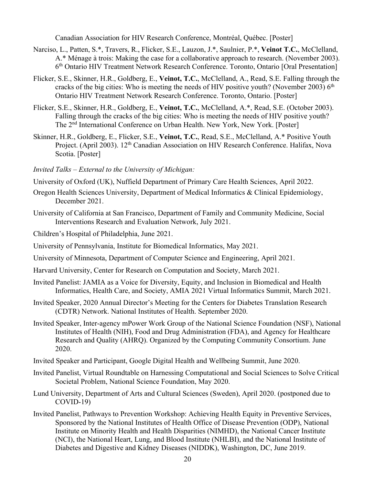Canadian Association for HIV Research Conference, Montréal, Québec. [Poster]

- Narciso, L., Patten, S.\*, Travers, R., Flicker, S.E., Lauzon, J.\*, Saulnier, P.\*, **Veinot T.C.**, McClelland, A.\* Ménage à trois: Making the case for a collaborative approach to research. (November 2003). 6th Ontario HIV Treatment Network Research Conference. Toronto, Ontario [Oral Presentation]
- Flicker, S.E., Skinner, H.R., Goldberg, E., **Veinot, T.C.**, McClelland, A., Read, S.E. Falling through the cracks of the big cities: Who is meeting the needs of HIV positive youth? (November 2003)  $6<sup>th</sup>$ Ontario HIV Treatment Network Research Conference. Toronto, Ontario. [Poster]
- Flicker, S.E., Skinner, H.R., Goldberg, E., **Veinot, T.C.**, McClelland, A.\*, Read, S.E. (October 2003). Falling through the cracks of the big cities: Who is meeting the needs of HIV positive youth? The 2nd International Conference on Urban Health. New York, New York. [Poster]
- Skinner, H.R., Goldberg, E., Flicker, S.E., **Veinot, T.C.**, Read, S.E., McClelland, A.\* Positive Youth Project. (April 2003). 12<sup>th</sup> Canadian Association on HIV Research Conference. Halifax, Nova Scotia. [Poster]
- *Invited Talks – External to the University of Michigan:*
- University of Oxford (UK), Nuffield Department of Primary Care Health Sciences, April 2022.
- Oregon Health Sciences University, Department of Medical Informatics & Clinical Epidemiology, December 2021.
- University of California at San Francisco, Department of Family and Community Medicine, Social Interventions Research and Evaluation Network, July 2021.
- Children's Hospital of Philadelphia, June 2021.
- University of Pennsylvania, Institute for Biomedical Informatics, May 2021.
- University of Minnesota, Department of Computer Science and Engineering, April 2021.
- Harvard University, Center for Research on Computation and Society, March 2021.
- Invited Panelist: JAMIA as a Voice for Diversity, Equity, and Inclusion in Biomedical and Health Informatics, Health Care, and Society, AMIA 2021 Virtual Informatics Summit, March 2021.
- Invited Speaker, 2020 Annual Director's Meeting for the Centers for Diabetes Translation Research (CDTR) Network. National Institutes of Health. September 2020.
- Invited Speaker, Inter-agency mPower Work Group of the National Science Foundation (NSF), National Institutes of Health (NIH), Food and Drug Administration (FDA), and Agency for Healthcare Research and Quality (AHRQ). Organized by the Computing Community Consortium. June 2020.
- Invited Speaker and Participant, Google Digital Health and Wellbeing Summit, June 2020.
- Invited Panelist, Virtual Roundtable on Harnessing Computational and Social Sciences to Solve Critical Societal Problem, National Science Foundation, May 2020.
- Lund University, Department of Arts and Cultural Sciences (Sweden), April 2020. (postponed due to COVID-19)
- Invited Panelist, Pathways to Prevention Workshop: Achieving Health Equity in Preventive Services, Sponsored by the National Institutes of Health Office of Disease Prevention (ODP), National Institute on Minority Health and Health Disparities (NIMHD), the National Cancer Institute (NCI), the National Heart, Lung, and Blood Institute (NHLBI), and the National Institute of Diabetes and Digestive and Kidney Diseases (NIDDK), Washington, DC, June 2019.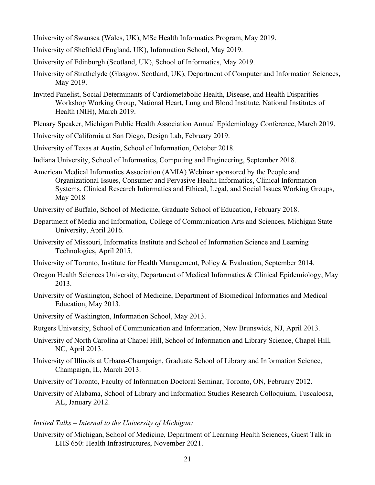University of Swansea (Wales, UK), MSc Health Informatics Program, May 2019.

- University of Sheffield (England, UK), Information School, May 2019.
- University of Edinburgh (Scotland, UK), School of Informatics, May 2019.
- University of Strathclyde (Glasgow, Scotland, UK), Department of Computer and Information Sciences, May 2019.
- Invited Panelist, Social Determinants of Cardiometabolic Health, Disease, and Health Disparities Workshop Working Group, National Heart, Lung and Blood Institute, National Institutes of Health (NIH), March 2019.
- Plenary Speaker, Michigan Public Health Association Annual Epidemiology Conference, March 2019.
- University of California at San Diego, Design Lab, February 2019.
- University of Texas at Austin, School of Information, October 2018.
- Indiana University, School of Informatics, Computing and Engineering, September 2018.
- American Medical Informatics Association (AMIA) Webinar sponsored by the People and Organizational Issues, Consumer and Pervasive Health Informatics, Clinical Information Systems, Clinical Research Informatics and Ethical, Legal, and Social Issues Working Groups, May 2018
- University of Buffalo, School of Medicine, Graduate School of Education, February 2018.
- Department of Media and Information, College of Communication Arts and Sciences, Michigan State University, April 2016.
- University of Missouri, Informatics Institute and School of Information Science and Learning Technologies, April 2015.
- University of Toronto, Institute for Health Management, Policy & Evaluation, September 2014.
- Oregon Health Sciences University, Department of Medical Informatics & Clinical Epidemiology, May 2013.
- University of Washington, School of Medicine, Department of Biomedical Informatics and Medical Education, May 2013.
- University of Washington, Information School, May 2013.
- Rutgers University, School of Communication and Information, New Brunswick, NJ, April 2013.
- University of North Carolina at Chapel Hill, School of Information and Library Science, Chapel Hill, NC, April 2013.
- University of Illinois at Urbana-Champaign, Graduate School of Library and Information Science, Champaign, IL, March 2013.
- University of Toronto, Faculty of Information Doctoral Seminar, Toronto, ON, February 2012.
- University of Alabama, School of Library and Information Studies Research Colloquium, Tuscaloosa, AL, January 2012.

#### *Invited Talks – Internal to the University of Michigan:*

University of Michigan, School of Medicine, Department of Learning Health Sciences, Guest Talk in LHS 650: Health Infrastructures, November 2021.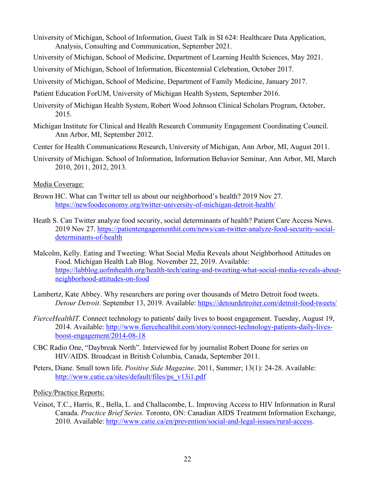- University of Michigan, School of Information, Guest Talk in SI 624: Healthcare Data Application, Analysis, Consulting and Communication, September 2021.
- University of Michigan, School of Medicine, Department of Learning Health Sciences, May 2021.

University of Michigan, School of Information, Bicentennial Celebration, October 2017.

- University of Michigan, School of Medicine, Department of Family Medicine, January 2017.
- Patient Education ForUM, University of Michigan Health System, September 2016.
- University of Michigan Health System, Robert Wood Johnson Clinical Scholars Program, October, 2015.
- Michigan Institute for Clinical and Health Research Community Engagement Coordinating Council. Ann Arbor, MI, September 2012.
- Center for Health Communications Research, University of Michigan, Ann Arbor, MI, August 2011.
- University of Michigan. School of Information, Information Behavior Seminar, Ann Arbor, MI, March 2010, 2011, 2012, 2013.

### Media Coverage:

- Brown HC. What can Twitter tell us about our neighborhood's health? 2019 Nov 27. https://newfoodeconomy.org/twitter-university-of-michigan-detroit-health/
- Heath S. Can Twitter analyze food security, social determinants of health? Patient Care Access News. 2019 Nov 27. https://patientengagementhit.com/news/can-twitter-analyze-food-security-socialdeterminants-of-health
- Malcolm, Kelly. Eating and Tweeting: What Social Media Reveals about Neighborhood Attitudes on Food. Michigan Health Lab Blog. November 22, 2019. Available: https://labblog.uofmhealth.org/health-tech/eating-and-tweeting-what-social-media-reveals-aboutneighborhood-attitudes-on-food
- Lambertz, Kate Abbey. Why researchers are poring over thousands of Metro Detroit food tweets. *Detour Detroit*. September 13, 2019. Available: https://detourdetroiter.com/detroit-food-tweets/
- *FierceHealthIT.* Connect technology to patients' daily lives to boost engagement. Tuesday, August 19, 2014. Available: http://www.fiercehealthit.com/story/connect-technology-patients-daily-livesboost-engagement/2014-08-18
- CBC Radio One, "Daybreak North". Interviewed for by journalist Robert Doane for series on HIV/AIDS. Broadcast in British Columbia, Canada, September 2011.
- Peters, Diane. Small town life. *Positive Side Magazine*. 2011, Summer; 13(1): 24-28. Available: http://www.catie.ca/sites/default/files/ps\_v13i1.pdf

# Policy/Practice Reports:

Veinot, T.C., Harris, R., Bella, L. and Challacombe, L. Improving Access to HIV Information in Rural Canada. *Practice Brief Series.* Toronto, ON: Canadian AIDS Treatment Information Exchange, 2010. Available: http://www.catie.ca/en/prevention/social-and-legal-issues/rural-access.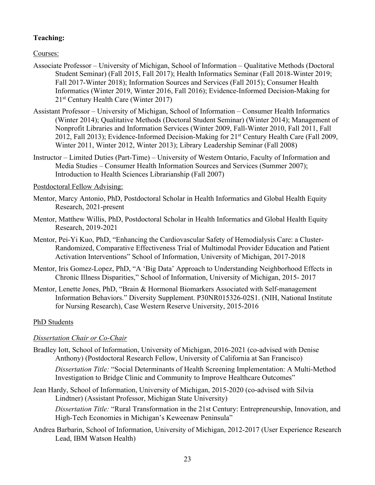# **Teaching:**

Courses:

- Associate Professor University of Michigan, School of Information Qualitative Methods (Doctoral Student Seminar) (Fall 2015, Fall 2017); Health Informatics Seminar (Fall 2018-Winter 2019; Fall 2017-Winter 2018); Information Sources and Services (Fall 2015); Consumer Health Informatics (Winter 2019, Winter 2016, Fall 2016); Evidence-Informed Decision-Making for 21st Century Health Care (Winter 2017)
- Assistant Professor University of Michigan, School of Information Consumer Health Informatics (Winter 2014); Qualitative Methods (Doctoral Student Seminar) (Winter 2014); Management of Nonprofit Libraries and Information Services (Winter 2009, Fall-Winter 2010, Fall 2011, Fall 2012, Fall 2013); Evidence-Informed Decision-Making for 21<sup>st</sup> Century Health Care (Fall 2009, Winter 2011, Winter 2012, Winter 2013); Library Leadership Seminar (Fall 2008)
- Instructor Limited Duties (Part-Time) University of Western Ontario, Faculty of Information and Media Studies – Consumer Health Information Sources and Services (Summer 2007); Introduction to Health Sciences Librarianship (Fall 2007)

#### Postdoctoral Fellow Advising:

- Mentor, Marcy Antonio, PhD, Postdoctoral Scholar in Health Informatics and Global Health Equity Research, 2021-present
- Mentor, Matthew Willis, PhD, Postdoctoral Scholar in Health Informatics and Global Health Equity Research, 2019-2021
- Mentor, Pei-Yi Kuo, PhD, "Enhancing the Cardiovascular Safety of Hemodialysis Care: a Cluster-Randomized, Comparative Effectiveness Trial of Multimodal Provider Education and Patient Activation Interventions" School of Information, University of Michigan, 2017-2018
- Mentor, Iris Gomez-Lopez, PhD, "A 'Big Data' Approach to Understanding Neighborhood Effects in Chronic Illness Disparities," School of Information, University of Michigan, 2015- 2017
- Mentor, Lenette Jones, PhD, "Brain & Hormonal Biomarkers Associated with Self-management Information Behaviors." Diversity Supplement. P30NR015326-02S1. (NIH, National Institute for Nursing Research), Case Western Reserve University, 2015-2016

### PhD Students

### *Dissertation Chair or Co-Chair*

- Bradley Iott, School of Information, University of Michigan, 2016-2021 (co-advised with Denise Anthony) (Postdoctoral Research Fellow, University of California at San Francisco) *Dissertation Title:* "Social Determinants of Health Screening Implementation: A Multi-Method Investigation to Bridge Clinic and Community to Improve Healthcare Outcomes"
- Jean Hardy, School of Information, University of Michigan, 2015-2020 (co-advised with Silvia Lindtner) (Assistant Professor, Michigan State University)

*Dissertation Title:* "Rural Transformation in the 21st Century: Entrepreneurship, Innovation, and High-Tech Economies in Michigan's Keweenaw Peninsula"

Andrea Barbarin, School of Information, University of Michigan, 2012-2017 (User Experience Research Lead, IBM Watson Health)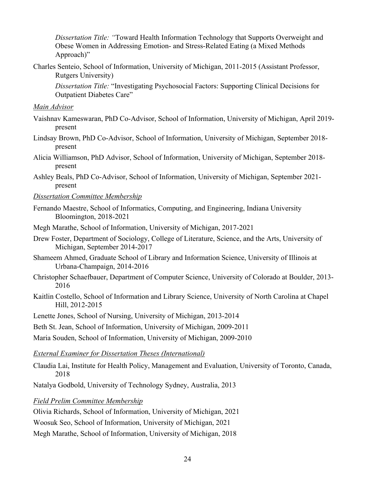*Dissertation Title: "*Toward Health Information Technology that Supports Overweight and Obese Women in Addressing Emotion- and Stress-Related Eating (a Mixed Methods Approach)"

Charles Senteio, School of Information, University of Michigan, 2011-2015 (Assistant Professor, Rutgers University)

*Dissertation Title:* "Investigating Psychosocial Factors: Supporting Clinical Decisions for Outpatient Diabetes Care"

#### *Main Advisor*

- Vaishnav Kameswaran, PhD Co-Advisor, School of Information, University of Michigan, April 2019 present
- Lindsay Brown, PhD Co-Advisor, School of Information, University of Michigan, September 2018 present
- Alicia Williamson, PhD Advisor, School of Information, University of Michigan, September 2018 present
- Ashley Beals, PhD Co-Advisor, School of Information, University of Michigan, September 2021 present

#### *Dissertation Committee Membership*

- Fernando Maestre, School of Informatics, Computing, and Engineering, Indiana University Bloomington, 2018-2021
- Megh Marathe, School of Information, University of Michigan, 2017-2021
- Drew Foster, Department of Sociology, College of Literature, Science, and the Arts, University of Michigan, September 2014-2017
- Shameem Ahmed, Graduate School of Library and Information Science, University of Illinois at Urbana-Champaign, 2014-2016
- Christopher Schaefbauer, Department of Computer Science, University of Colorado at Boulder, 2013- 2016
- Kaitlin Costello, School of Information and Library Science, University of North Carolina at Chapel Hill, 2012-2015
- Lenette Jones, School of Nursing, University of Michigan, 2013-2014
- Beth St. Jean, School of Information, University of Michigan, 2009-2011

Maria Souden, School of Information, University of Michigan, 2009-2010

- *External Examiner for Dissertation Theses (International)*
- Claudia Lai, Institute for Health Policy, Management and Evaluation, University of Toronto, Canada, 2018

Natalya Godbold, University of Technology Sydney, Australia, 2013

*Field Prelim Committee Membership*

Olivia Richards, School of Information, University of Michigan, 2021

Woosuk Seo, School of Information, University of Michigan, 2021

Megh Marathe, School of Information, University of Michigan, 2018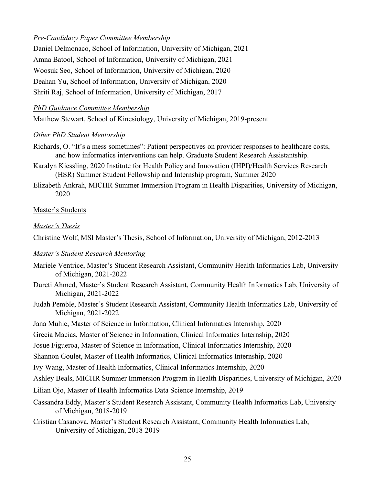# *Pre-Candidacy Paper Committee Membership*

Daniel Delmonaco, School of Information, University of Michigan, 2021 Amna Batool, School of Information, University of Michigan, 2021 Woosuk Seo, School of Information, University of Michigan, 2020 Deahan Yu, School of Information, University of Michigan, 2020 Shriti Raj, School of Information, University of Michigan, 2017

### *PhD Guidance Committee Membership*

Matthew Stewart, School of Kinesiology, University of Michigan, 2019-present

### *Other PhD Student Mentorship*

- Richards, O. "It's a mess sometimes": Patient perspectives on provider responses to healthcare costs, and how informatics interventions can help. Graduate Student Research Assistantship.
- Karalyn Kiessling, 2020 Institute for Health Policy and Innovation (IHPI)/Health Services Research (HSR) Summer Student Fellowship and Internship program, Summer 2020
- Elizabeth Ankrah, MICHR Summer Immersion Program in Health Disparities, University of Michigan, 2020

### Master's Students

### *Master's Thesis*

Christine Wolf, MSI Master's Thesis, School of Information, University of Michigan, 2012-2013

### *Master's Student Research Mentoring*

- Mariele Ventrice, Master's Student Research Assistant, Community Health Informatics Lab, University of Michigan, 2021-2022
- Dureti Ahmed, Master's Student Research Assistant, Community Health Informatics Lab, University of Michigan, 2021-2022
- Judah Pemble, Master's Student Research Assistant, Community Health Informatics Lab, University of Michigan, 2021-2022
- Jana Muhic, Master of Science in Information, Clinical Informatics Internship, 2020
- Grecia Macias, Master of Science in Information, Clinical Informatics Internship, 2020

Josue Figueroa, Master of Science in Information, Clinical Informatics Internship, 2020

Shannon Goulet, Master of Health Informatics, Clinical Informatics Internship, 2020

Ivy Wang, Master of Health Informatics, Clinical Informatics Internship, 2020

Ashley Beals, MICHR Summer Immersion Program in Health Disparities, University of Michigan, 2020

- Lilian Ojo, Master of Health Informatics Data Science Internship, 2019
- Cassandra Eddy, Master's Student Research Assistant, Community Health Informatics Lab, University of Michigan, 2018-2019
- Cristian Casanova, Master's Student Research Assistant, Community Health Informatics Lab, University of Michigan, 2018-2019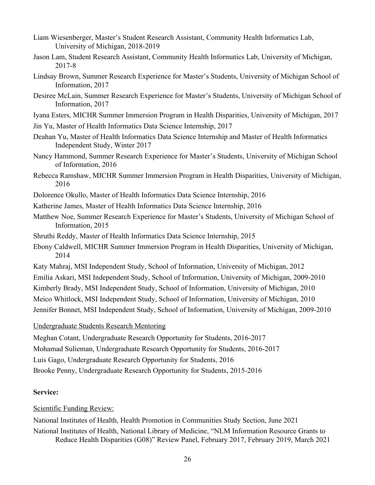- Liam Wiesenberger, Master's Student Research Assistant, Community Health Informatics Lab, University of Michigan, 2018-2019
- Jason Lam, Student Research Assistant, Community Health Informatics Lab, University of Michigan, 2017-8
- Lindsay Brown, Summer Research Experience for Master's Students, University of Michigan School of Information, 2017
- Desiree McLain, Summer Research Experience for Master's Students, University of Michigan School of Information, 2017
- Iyana Esters, MICHR Summer Immersion Program in Health Disparities, University of Michigan, 2017
- Jin Yu, Master of Health Informatics Data Science Internship, 2017
- Deahan Yu, Master of Health Informatics Data Science Internship and Master of Health Informatics Independent Study, Winter 2017
- Nancy Hammond, Summer Research Experience for Master's Students, University of Michigan School of Information, 2016
- Rebecca Ramshaw, MICHR Summer Immersion Program in Health Disparities, University of Michigan, 2016
- Dolorence Okullo, Master of Health Informatics Data Science Internship, 2016
- Katherine James, Master of Health Informatics Data Science Internship, 2016
- Matthew Noe, Summer Research Experience for Master's Students, University of Michigan School of Information, 2015
- Shruthi Reddy, Master of Health Informatics Data Science Internship, 2015
- Ebony Caldwell, MICHR Summer Immersion Program in Health Disparities, University of Michigan, 2014
- Katy Mahraj, MSI Independent Study, School of Information, University of Michigan, 2012
- Emilia Askari, MSI Independent Study, School of Information, University of Michigan, 2009-2010
- Kimberly Brady, MSI Independent Study, School of Information, University of Michigan, 2010
- Meico Whitlock, MSI Independent Study, School of Information, University of Michigan, 2010
- Jennifer Bonnet, MSI Independent Study, School of Information, University of Michigan, 2009-2010

### Undergraduate Students Research Mentoring

Meghan Cotant, Undergraduate Research Opportunity for Students, 2016-2017

Mohamad Sulieman, Undergraduate Research Opportunity for Students, 2016-2017

Luis Gago, Undergraduate Research Opportunity for Students, 2016

Brooke Penny, Undergraduate Research Opportunity for Students, 2015-2016

### **Service:**

# Scientific Funding Review:

National Institutes of Health, Health Promotion in Communities Study Section, June 2021 National Institutes of Health, National Library of Medicine, "NLM Information Resource Grants to Reduce Health Disparities (G08)" Review Panel, February 2017, February 2019, March 2021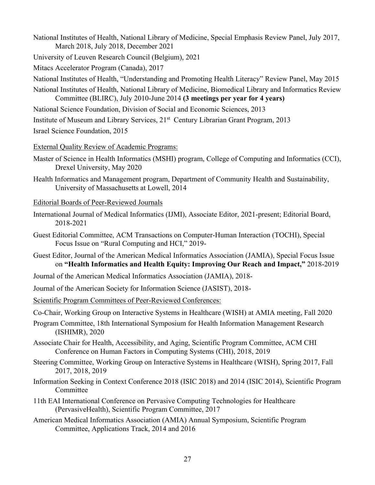National Institutes of Health, National Library of Medicine, Special Emphasis Review Panel, July 2017, March 2018, July 2018, December 2021

University of Leuven Research Council (Belgium), 2021

Mitacs Accelerator Program (Canada), 2017

National Institutes of Health, "Understanding and Promoting Health Literacy" Review Panel, May 2015

National Institutes of Health, National Library of Medicine, Biomedical Library and Informatics Review Committee (BLIRC), July 2010-June 2014 **(3 meetings per year for 4 years)**

National Science Foundation, Division of Social and Economic Sciences, 2013

Institute of Museum and Library Services, 21<sup>st</sup> Century Librarian Grant Program, 2013

Israel Science Foundation, 2015

External Quality Review of Academic Programs:

Master of Science in Health Informatics (MSHI) program, College of Computing and Informatics (CCI), Drexel University, May 2020

Health Informatics and Management program, Department of Community Health and Sustainability, University of Massachusetts at Lowell, 2014

Editorial Boards of Peer-Reviewed Journals

- International Journal of Medical Informatics (IJMI), Associate Editor, 2021-present; Editorial Board, 2018-2021
- Guest Editorial Committee, ACM Transactions on Computer-Human Interaction (TOCHI), Special Focus Issue on "Rural Computing and HCI," 2019-
- Guest Editor, Journal of the American Medical Informatics Association (JAMIA), Special Focus Issue on **"Health Informatics and Health Equity: Improving Our Reach and Impact,"** 2018-2019
- Journal of the American Medical Informatics Association (JAMIA), 2018-
- Journal of the American Society for Information Science (JASIST), 2018-

Scientific Program Committees of Peer-Reviewed Conferences:

Co-Chair, Working Group on Interactive Systems in Healthcare (WISH) at AMIA meeting, Fall 2020

Program Committee, 18th International Symposium for Health Information Management Research (ISHIMR), 2020

- Associate Chair for Health, Accessibility, and Aging, Scientific Program Committee, ACM CHI Conference on Human Factors in Computing Systems (CHI), 2018, 2019
- Steering Committee, Working Group on Interactive Systems in Healthcare (WISH), Spring 2017, Fall 2017, 2018, 2019
- Information Seeking in Context Conference 2018 (ISIC 2018) and 2014 (ISIC 2014), Scientific Program **Committee**
- 11th EAI International Conference on Pervasive Computing Technologies for Healthcare (PervasiveHealth), Scientific Program Committee, 2017
- American Medical Informatics Association (AMIA) Annual Symposium, Scientific Program Committee, Applications Track, 2014 and 2016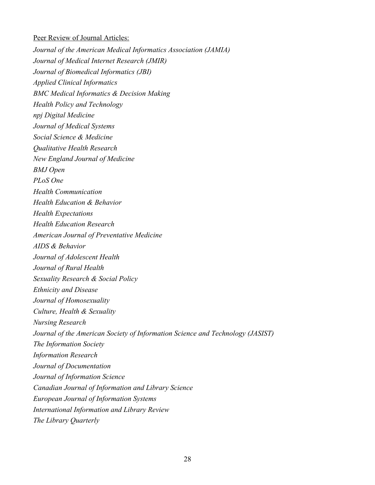# Peer Review of Journal Articles:

*Journal of the American Medical Informatics Association (JAMIA) Journal of Medical Internet Research (JMIR) Journal of Biomedical Informatics (JBI) Applied Clinical Informatics BMC Medical Informatics & Decision Making Health Policy and Technology npj Digital Medicine Journal of Medical Systems Social Science & Medicine Qualitative Health Research New England Journal of Medicine BMJ Open PLoS One Health Communication Health Education & Behavior Health Expectations Health Education Research American Journal of Preventative Medicine AIDS & Behavior Journal of Adolescent Health Journal of Rural Health Sexuality Research & Social Policy Ethnicity and Disease Journal of Homosexuality Culture, Health & Sexuality Nursing Research Journal of the American Society of Information Science and Technology (JASIST) The Information Society Information Research Journal of Documentation Journal of Information Science Canadian Journal of Information and Library Science European Journal of Information Systems International Information and Library Review The Library Quarterly*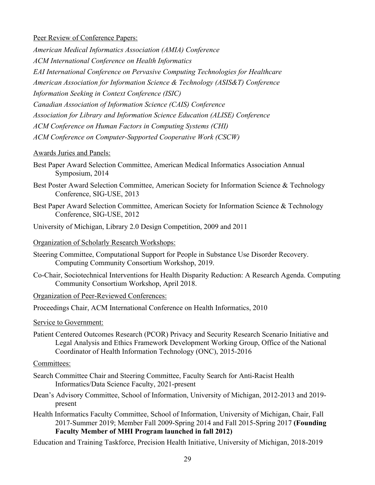### Peer Review of Conference Papers:

*American Medical Informatics Association (AMIA) Conference ACM International Conference on Health Informatics EAI International Conference on Pervasive Computing Technologies for Healthcare American Association for Information Science & Technology (ASIS&T) Conference Information Seeking in Context Conference (ISIC) Canadian Association of Information Science (CAIS) Conference Association for Library and Information Science Education (ALISE) Conference ACM Conference on Human Factors in Computing Systems (CHI) ACM Conference on Computer-Supported Cooperative Work (CSCW)*

### Awards Juries and Panels:

- Best Paper Award Selection Committee, American Medical Informatics Association Annual Symposium, 2014
- Best Poster Award Selection Committee, American Society for Information Science & Technology Conference, SIG-USE, 2013
- Best Paper Award Selection Committee, American Society for Information Science & Technology Conference, SIG-USE, 2012
- University of Michigan, Library 2.0 Design Competition, 2009 and 2011
- Organization of Scholarly Research Workshops:
- Steering Committee, Computational Support for People in Substance Use Disorder Recovery. Computing Community Consortium Workshop, 2019.
- Co-Chair, Sociotechnical Interventions for Health Disparity Reduction: A Research Agenda. Computing Community Consortium Workshop, April 2018.
- Organization of Peer-Reviewed Conferences:

Proceedings Chair, ACM International Conference on Health Informatics, 2010

Service to Government:

Patient Centered Outcomes Research (PCOR) Privacy and Security Research Scenario Initiative and Legal Analysis and Ethics Framework Development Working Group, Office of the National Coordinator of Health Information Technology (ONC), 2015-2016

Committees:

- Search Committee Chair and Steering Committee, Faculty Search for Anti-Racist Health Informatics/Data Science Faculty, 2021-present
- Dean's Advisory Committee, School of Information, University of Michigan, 2012-2013 and 2019 present
- Health Informatics Faculty Committee, School of Information, University of Michigan, Chair, Fall 2017-Summer 2019; Member Fall 2009-Spring 2014 and Fall 2015-Spring 2017 **(Founding Faculty Member of MHI Program launched in fall 2012)**
- Education and Training Taskforce, Precision Health Initiative, University of Michigan, 2018-2019